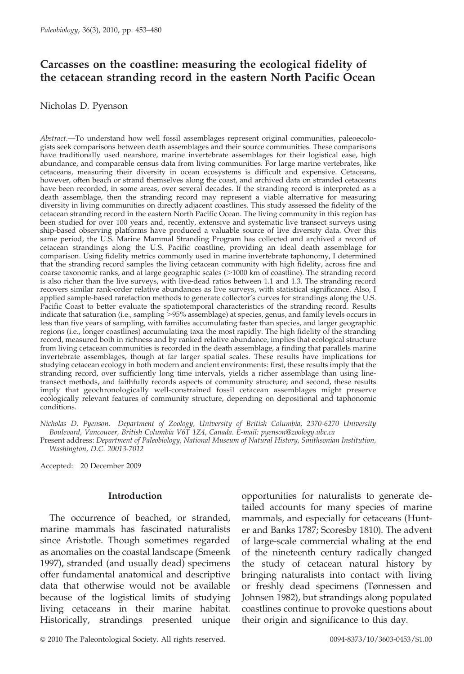# Carcasses on the coastline: measuring the ecological fidelity of the cetacean stranding record in the eastern North Pacific Ocean

Nicholas D. Pyenson

Abstract.—To understand how well fossil assemblages represent original communities, paleoecologists seek comparisons between death assemblages and their source communities. These comparisons have traditionally used nearshore, marine invertebrate assemblages for their logistical ease, high abundance, and comparable census data from living communities. For large marine vertebrates, like cetaceans, measuring their diversity in ocean ecosystems is difficult and expensive. Cetaceans, however, often beach or strand themselves along the coast, and archived data on stranded cetaceans have been recorded, in some areas, over several decades. If the stranding record is interpreted as a death assemblage, then the stranding record may represent a viable alternative for measuring diversity in living communities on directly adjacent coastlines. This study assessed the fidelity of the cetacean stranding record in the eastern North Pacific Ocean. The living community in this region has been studied for over 100 years and, recently, extensive and systematic live transect surveys using ship-based observing platforms have produced a valuable source of live diversity data. Over this same period, the U.S. Marine Mammal Stranding Program has collected and archived a record of cetacean strandings along the U.S. Pacific coastline, providing an ideal death assemblage for comparison. Using fidelity metrics commonly used in marine invertebrate taphonomy, I determined that the stranding record samples the living cetacean community with high fidelity, across fine and coarse taxonomic ranks, and at large geographic scales (>1000 km of coastline). The stranding record is also richer than the live surveys, with live-dead ratios between 1.1 and 1.3. The stranding record recovers similar rank-order relative abundances as live surveys, with statistical significance. Also, I applied sample-based rarefaction methods to generate collector's curves for strandings along the U.S. Pacific Coast to better evaluate the spatiotemporal characteristics of the stranding record. Results indicate that saturation (i.e., sampling >95% assemblage) at species, genus, and family levels occurs in less than five years of sampling, with families accumulating faster than species, and larger geographic regions (i.e., longer coastlines) accumulating taxa the most rapidly. The high fidelity of the stranding record, measured both in richness and by ranked relative abundance, implies that ecological structure from living cetacean communities is recorded in the death assemblage, a finding that parallels marine invertebrate assemblages, though at far larger spatial scales. These results have implications for studying cetacean ecology in both modern and ancient environments: first, these results imply that the stranding record, over sufficiently long time intervals, yields a richer assemblage than using linetransect methods, and faithfully records aspects of community structure; and second, these results imply that geochronologically well-constrained fossil cetacean assemblages might preserve ecologically relevant features of community structure, depending on depositional and taphonomic conditions.

Nicholas D. Pyenson. Department of Zoology, University of British Columbia, 2370-6270 University Boulevard, Vancouver, British Columbia V6T 1Z4, Canada. E-mail: pyenson@zoology.ubc.ca

Present address: Department of Paleobiology, National Museum of Natural History, Smithsonian Institution, Washington, D.C. 20013-7012

Accepted: 20 December 2009

#### Introduction

The occurrence of beached, or stranded, marine mammals has fascinated naturalists since Aristotle. Though sometimes regarded as anomalies on the coastal landscape (Smeenk 1997), stranded (and usually dead) specimens offer fundamental anatomical and descriptive data that otherwise would not be available because of the logistical limits of studying living cetaceans in their marine habitat. Historically, strandings presented unique

opportunities for naturalists to generate detailed accounts for many species of marine mammals, and especially for cetaceans (Hunter and Banks 1787; Scoresby 1810). The advent of large-scale commercial whaling at the end of the nineteenth century radically changed the study of cetacean natural history by bringing naturalists into contact with living or freshly dead specimens (Tønnessen and Johnsen 1982), but strandings along populated coastlines continue to provoke questions about their origin and significance to this day.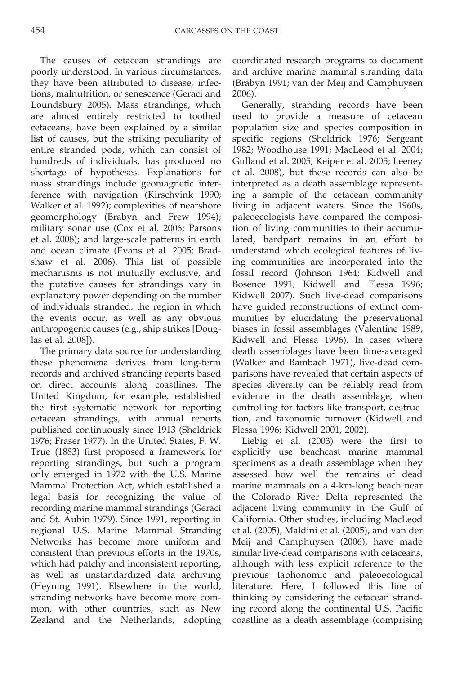The causes of cetacean strandings are poorly understood. In various circumstances, they have been attributed to disease, infections, malnutrition, or senescence (Geraci and Loundsbury 2005). Mass strandings, which are almost entirely restricted to toothed cetaceans, have been explained by a similar list of causes, but the striking peculiarity of entire stranded pods, which can consist of hundreds of individuals, has produced no shortage of hypotheses. Explanations for mass strandings include geomagnetic interference with navigation (Kirschvink 1990; Walker et al. 1992); complexities of nearshore geomorphology (Brabyn and Frew 1994); military sonar use (Cox et al. 2006; Parsons et al. 2008); and large-scale patterns in earth and ocean climate (Evans et al. 2005; Bradshaw et al. 2006). This list of possible mechanisms is not mutually exclusive, and the putative causes for strandings vary in explanatory power depending on the number of individuals stranded, the region in which the events occur, as well as any obvious anthropogenic causes (e.g., ship strikes [Douglas et al. 2008]).

The primary data source for understanding these phenomena derives from long-term records and archived stranding reports based on direct accounts along coastlines. The United Kingdom, for example, established the first systematic network for reporting cetacean strandings, with annual reports published continuously since 1913 (Sheldrick 1976; Fraser 1977). In the United States, F. W. True (1883) first proposed a framework for reporting strandings, but such a program only emerged in 1972 with the U.S. Marine Mammal Protection Act, which established a legal basis for recognizing the value of recording marine mammal strandings (Geraci and St. Aubin 1979). Since 1991, reporting in regional U.S. Marine Mammal Stranding Networks has become more uniform and consistent than previous efforts in the 1970s, which had patchy and inconsistent reporting, as well as unstandardized data archiving (Heyning 1991). Elsewhere in the world, stranding networks have become more common, with other countries, such as New Zealand and the Netherlands, adopting

coordinated research programs to document and archive marine mammal stranding data (Brabyn 1991; van der Meij and Camphuysen 2006).

Generally, stranding records have been used to provide a measure of cetacean population size and species composition in specific regions (Sheldrick 1976; Sergeant 1982; Woodhouse 1991; MacLeod et al. 2004; Gulland et al. 2005; Keiper et al. 2005; Leeney et al. 2008), but these records can also be interpreted as a death assemblage representing a sample of the cetacean community living in adjacent waters. Since the 1960s, paleoecologists have compared the composition of living communities to their accumulated, hardpart remains in an effort to understand which ecological features of living communities are incorporated into the fossil record (Johnson 1964; Kidwell and Bosence 1991; Kidwell and Flessa 1996; Kidwell 2007). Such live-dead comparisons have guided reconstructions of extinct communities by elucidating the preservational biases in fossil assemblages (Valentine 1989; Kidwell and Flessa 1996). In cases where death assemblages have been time-averaged (Walker and Bambach 1971), live-dead comparisons have revealed that certain aspects of species diversity can be reliably read from evidence in the death assemblage, when controlling for factors like transport, destruction, and taxonomic turnover (Kidwell and Flessa 1996; Kidwell 2001, 2002).

Liebig et al. (2003) were the first to explicitly use beachcast marine mammal specimens as a death assemblage when they assessed how well the remains of dead marine mammals on a 4-km-long beach near the Colorado River Delta represented the adjacent living community in the Gulf of California. Other studies, including MacLeod et al. (2005), Maldini et al. (2005), and van der Meij and Camphuysen (2006), have made similar live-dead comparisons with cetaceans, although with less explicit reference to the previous taphonomic and paleoecological literature. Here, I followed this line of thinking by considering the cetacean stranding record along the continental U.S. Pacific coastline as a death assemblage (comprising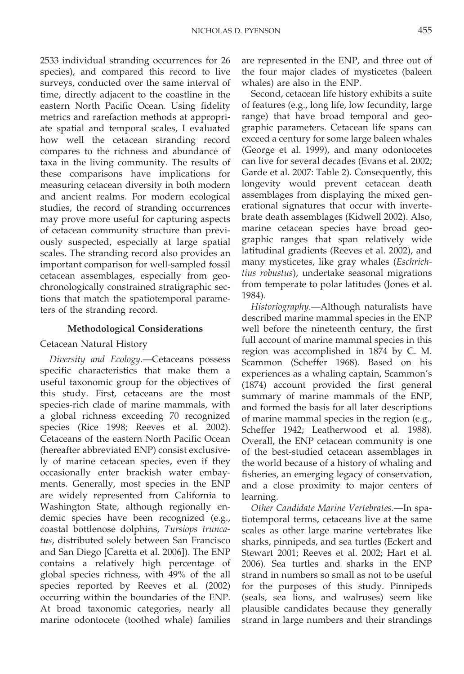2533 individual stranding occurrences for 26 species), and compared this record to live surveys, conducted over the same interval of time, directly adjacent to the coastline in the eastern North Pacific Ocean. Using fidelity metrics and rarefaction methods at appropriate spatial and temporal scales, I evaluated how well the cetacean stranding record compares to the richness and abundance of taxa in the living community. The results of these comparisons have implications for measuring cetacean diversity in both modern and ancient realms. For modern ecological studies, the record of stranding occurrences may prove more useful for capturing aspects of cetacean community structure than previously suspected, especially at large spatial scales. The stranding record also provides an important comparison for well-sampled fossil cetacean assemblages, especially from geochronologically constrained stratigraphic sections that match the spatiotemporal parameters of the stranding record.

### Methodological Considerations

#### Cetacean Natural History

Diversity and Ecology.—Cetaceans possess specific characteristics that make them a useful taxonomic group for the objectives of this study. First, cetaceans are the most species-rich clade of marine mammals, with a global richness exceeding 70 recognized species (Rice 1998; Reeves et al. 2002). Cetaceans of the eastern North Pacific Ocean (hereafter abbreviated ENP) consist exclusively of marine cetacean species, even if they occasionally enter brackish water embayments. Generally, most species in the ENP are widely represented from California to Washington State, although regionally endemic species have been recognized (e.g., coastal bottlenose dolphins, Tursiops truncatus, distributed solely between San Francisco and San Diego [Caretta et al. 2006]). The ENP contains a relatively high percentage of global species richness, with 49% of the all species reported by Reeves et al. (2002) occurring within the boundaries of the ENP. At broad taxonomic categories, nearly all marine odontocete (toothed whale) families

are represented in the ENP, and three out of the four major clades of mysticetes (baleen whales) are also in the ENP.

Second, cetacean life history exhibits a suite of features (e.g., long life, low fecundity, large range) that have broad temporal and geographic parameters. Cetacean life spans can exceed a century for some large baleen whales (George et al. 1999), and many odontocetes can live for several decades (Evans et al. 2002; Garde et al. 2007: Table 2). Consequently, this longevity would prevent cetacean death assemblages from displaying the mixed generational signatures that occur with invertebrate death assemblages (Kidwell 2002). Also, marine cetacean species have broad geographic ranges that span relatively wide latitudinal gradients (Reeves et al. 2002), and many mysticetes, like gray whales (Eschrichtius robustus), undertake seasonal migrations from temperate to polar latitudes (Jones et al. 1984).

Historiography.—Although naturalists have described marine mammal species in the ENP well before the nineteenth century, the first full account of marine mammal species in this region was accomplished in 1874 by C. M. Scammon (Scheffer 1968). Based on his experiences as a whaling captain, Scammon's (1874) account provided the first general summary of marine mammals of the ENP, and formed the basis for all later descriptions of marine mammal species in the region (e.g., Scheffer 1942; Leatherwood et al. 1988). Overall, the ENP cetacean community is one of the best-studied cetacean assemblages in the world because of a history of whaling and fisheries, an emerging legacy of conservation, and a close proximity to major centers of learning.

Other Candidate Marine Vertebrates.—In spatiotemporal terms, cetaceans live at the same scales as other large marine vertebrates like sharks, pinnipeds, and sea turtles (Eckert and Stewart 2001; Reeves et al. 2002; Hart et al. 2006). Sea turtles and sharks in the ENP strand in numbers so small as not to be useful for the purposes of this study. Pinnipeds (seals, sea lions, and walruses) seem like plausible candidates because they generally strand in large numbers and their strandings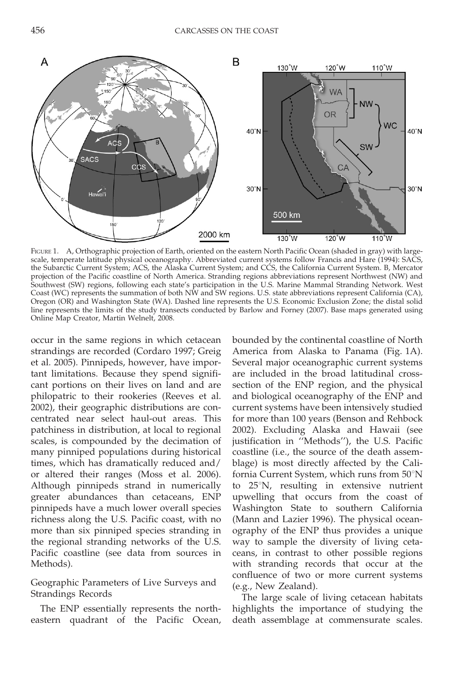

FIGURE 1. A, Orthographic projection of Earth, oriented on the eastern North Pacific Ocean (shaded in gray) with largescale, temperate latitude physical oceanography. Abbreviated current systems follow Francis and Hare (1994): SACS, the Subarctic Current System; ACS, the Alaska Current System; and CCS, the California Current System. B, Mercator projection of the Pacific coastline of North America. Stranding regions abbreviations represent Northwest (NW) and Southwest (SW) regions, following each state's participation in the U.S. Marine Mammal Stranding Network. West Coast (WC) represents the summation of both NW and SW regions. U.S. state abbreviations represent California (CA), Oregon (OR) and Washington State (WA). Dashed line represents the U.S. Economic Exclusion Zone; the distal solid line represents the limits of the study transects conducted by Barlow and Forney (2007). Base maps generated using Online Map Creator, Martin Welnelt, 2008.

occur in the same regions in which cetacean strandings are recorded (Cordaro 1997; Greig et al. 2005). Pinnipeds, however, have important limitations. Because they spend significant portions on their lives on land and are philopatric to their rookeries (Reeves et al. 2002), their geographic distributions are concentrated near select haul-out areas. This patchiness in distribution, at local to regional scales, is compounded by the decimation of many pinniped populations during historical times, which has dramatically reduced and/ or altered their ranges (Moss et al. 2006). Although pinnipeds strand in numerically greater abundances than cetaceans, ENP pinnipeds have a much lower overall species richness along the U.S. Pacific coast, with no more than six pinniped species stranding in the regional stranding networks of the U.S. Pacific coastline (see data from sources in Methods).

## Geographic Parameters of Live Surveys and Strandings Records

The ENP essentially represents the northeastern quadrant of the Pacific Ocean, bounded by the continental coastline of North America from Alaska to Panama (Fig. 1A). Several major oceanographic current systems are included in the broad latitudinal crosssection of the ENP region, and the physical and biological oceanography of the ENP and current systems have been intensively studied for more than 100 years (Benson and Rehbock 2002). Excluding Alaska and Hawaii (see justification in ''Methods''), the U.S. Pacific coastline (i.e., the source of the death assemblage) is most directly affected by the California Current System, which runs from  $50^{\circ}$ N to  $25^\circ$ N, resulting in extensive nutrient upwelling that occurs from the coast of Washington State to southern California (Mann and Lazier 1996). The physical oceanography of the ENP thus provides a unique way to sample the diversity of living cetaceans, in contrast to other possible regions with stranding records that occur at the confluence of two or more current systems (e.g., New Zealand).

The large scale of living cetacean habitats highlights the importance of studying the death assemblage at commensurate scales.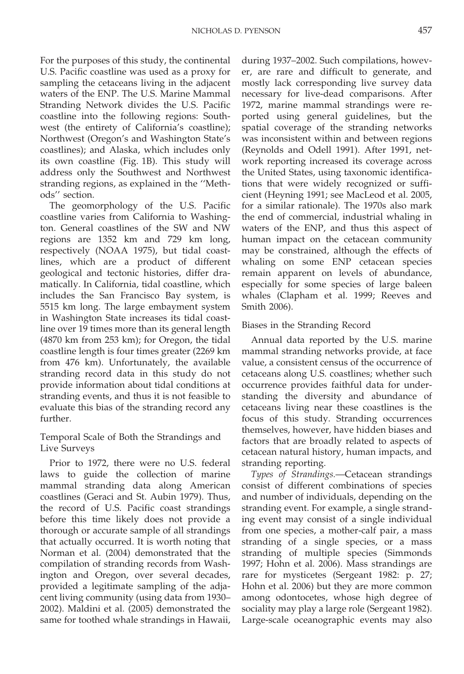For the purposes of this study, the continental U.S. Pacific coastline was used as a proxy for sampling the cetaceans living in the adjacent waters of the ENP. The U.S. Marine Mammal Stranding Network divides the U.S. Pacific coastline into the following regions: Southwest (the entirety of California's coastline); Northwest (Oregon's and Washington State's coastlines); and Alaska, which includes only its own coastline (Fig. 1B). This study will address only the Southwest and Northwest stranding regions, as explained in the ''Methods'' section.

The geomorphology of the U.S. Pacific coastline varies from California to Washington. General coastlines of the SW and NW regions are 1352 km and 729 km long, respectively (NOAA 1975), but tidal coastlines, which are a product of different geological and tectonic histories, differ dramatically. In California, tidal coastline, which includes the San Francisco Bay system, is 5515 km long. The large embayment system in Washington State increases its tidal coastline over 19 times more than its general length (4870 km from 253 km); for Oregon, the tidal coastline length is four times greater (2269 km from 476 km). Unfortunately, the available stranding record data in this study do not provide information about tidal conditions at stranding events, and thus it is not feasible to evaluate this bias of the stranding record any further.

## Temporal Scale of Both the Strandings and Live Surveys

Prior to 1972, there were no U.S. federal laws to guide the collection of marine mammal stranding data along American coastlines (Geraci and St. Aubin 1979). Thus, the record of U.S. Pacific coast strandings before this time likely does not provide a thorough or accurate sample of all strandings that actually occurred. It is worth noting that Norman et al. (2004) demonstrated that the compilation of stranding records from Washington and Oregon, over several decades, provided a legitimate sampling of the adjacent living community (using data from 1930– 2002). Maldini et al. (2005) demonstrated the same for toothed whale strandings in Hawaii,

during 1937–2002. Such compilations, however, are rare and difficult to generate, and mostly lack corresponding live survey data necessary for live-dead comparisons. After 1972, marine mammal strandings were reported using general guidelines, but the spatial coverage of the stranding networks was inconsistent within and between regions (Reynolds and Odell 1991). After 1991, network reporting increased its coverage across the United States, using taxonomic identifications that were widely recognized or sufficient (Heyning 1991; see MacLeod et al. 2005, for a similar rationale). The 1970s also mark the end of commercial, industrial whaling in waters of the ENP, and thus this aspect of human impact on the cetacean community may be constrained, although the effects of whaling on some ENP cetacean species remain apparent on levels of abundance, especially for some species of large baleen whales (Clapham et al. 1999; Reeves and Smith 2006).

### Biases in the Stranding Record

Annual data reported by the U.S. marine mammal stranding networks provide, at face value, a consistent census of the occurrence of cetaceans along U.S. coastlines; whether such occurrence provides faithful data for understanding the diversity and abundance of cetaceans living near these coastlines is the focus of this study. Stranding occurrences themselves, however, have hidden biases and factors that are broadly related to aspects of cetacean natural history, human impacts, and stranding reporting.

Types of Strandings.—Cetacean strandings consist of different combinations of species and number of individuals, depending on the stranding event. For example, a single stranding event may consist of a single individual from one species, a mother-calf pair, a mass stranding of a single species, or a mass stranding of multiple species (Simmonds 1997; Hohn et al. 2006). Mass strandings are rare for mysticetes (Sergeant 1982: p. 27; Hohn et al. 2006) but they are more common among odontocetes, whose high degree of sociality may play a large role (Sergeant 1982). Large-scale oceanographic events may also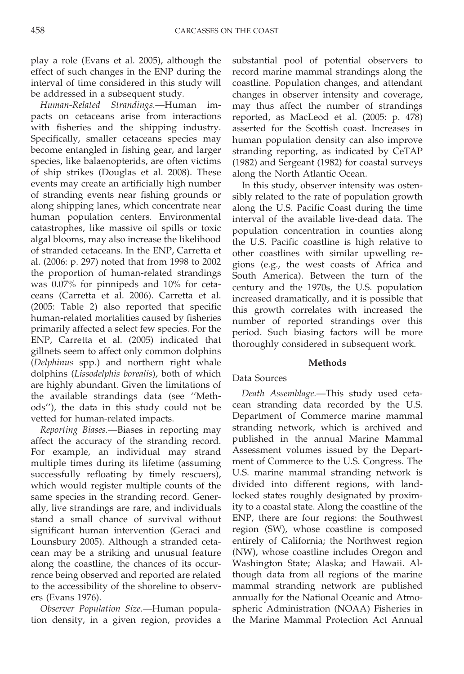play a role (Evans et al. 2005), although the effect of such changes in the ENP during the interval of time considered in this study will be addressed in a subsequent study.

Human-Related Strandings.—Human impacts on cetaceans arise from interactions with fisheries and the shipping industry. Specifically, smaller cetaceans species may become entangled in fishing gear, and larger species, like balaenopterids, are often victims of ship strikes (Douglas et al. 2008). These events may create an artificially high number of stranding events near fishing grounds or along shipping lanes, which concentrate near human population centers. Environmental catastrophes, like massive oil spills or toxic algal blooms, may also increase the likelihood of stranded cetaceans. In the ENP, Carretta et al. (2006: p. 297) noted that from 1998 to 2002 the proportion of human-related strandings was 0.07% for pinnipeds and 10% for cetaceans (Carretta et al. 2006). Carretta et al. (2005: Table 2) also reported that specific human-related mortalities caused by fisheries primarily affected a select few species. For the ENP, Carretta et al. (2005) indicated that gillnets seem to affect only common dolphins (Delphinus spp.) and northern right whale dolphins (Lissodelphis borealis), both of which are highly abundant. Given the limitations of the available strandings data (see ''Methods''), the data in this study could not be vetted for human-related impacts.

Reporting Biases.—Biases in reporting may affect the accuracy of the stranding record. For example, an individual may strand multiple times during its lifetime (assuming successfully refloating by timely rescuers), which would register multiple counts of the same species in the stranding record. Generally, live strandings are rare, and individuals stand a small chance of survival without significant human intervention (Geraci and Lounsbury 2005). Although a stranded cetacean may be a striking and unusual feature along the coastline, the chances of its occurrence being observed and reported are related to the accessibility of the shoreline to observers (Evans 1976).

Observer Population Size.—Human population density, in a given region, provides a substantial pool of potential observers to record marine mammal strandings along the coastline. Population changes, and attendant changes in observer intensity and coverage, may thus affect the number of strandings reported, as MacLeod et al. (2005: p. 478) asserted for the Scottish coast. Increases in human population density can also improve stranding reporting, as indicated by CeTAP (1982) and Sergeant (1982) for coastal surveys along the North Atlantic Ocean.

In this study, observer intensity was ostensibly related to the rate of population growth along the U.S. Pacific Coast during the time interval of the available live-dead data. The population concentration in counties along the U.S. Pacific coastline is high relative to other coastlines with similar upwelling regions (e.g., the west coasts of Africa and South America). Between the turn of the century and the 1970s, the U.S. population increased dramatically, and it is possible that this growth correlates with increased the number of reported strandings over this period. Such biasing factors will be more thoroughly considered in subsequent work.

## Methods

## Data Sources

Death Assemblage.—This study used cetacean stranding data recorded by the U.S. Department of Commerce marine mammal stranding network, which is archived and published in the annual Marine Mammal Assessment volumes issued by the Department of Commerce to the U.S. Congress. The U.S. marine mammal stranding network is divided into different regions, with landlocked states roughly designated by proximity to a coastal state. Along the coastline of the ENP, there are four regions: the Southwest region (SW), whose coastline is composed entirely of California; the Northwest region (NW), whose coastline includes Oregon and Washington State; Alaska; and Hawaii. Although data from all regions of the marine mammal stranding network are published annually for the National Oceanic and Atmospheric Administration (NOAA) Fisheries in the Marine Mammal Protection Act Annual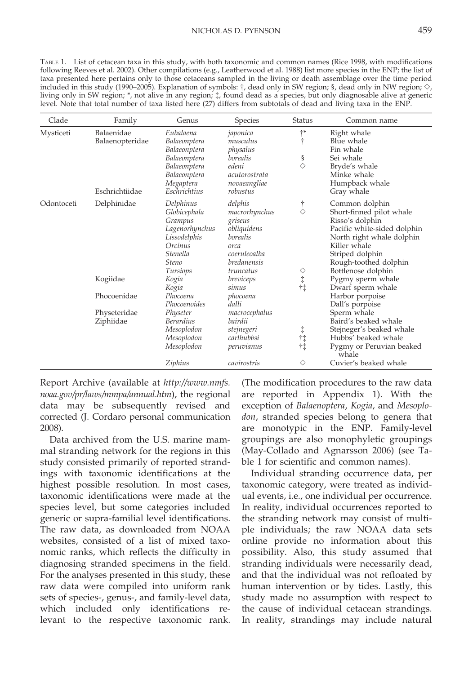TABLE 1. List of cetacean taxa in this study, with both taxonomic and common names (Rice 1998, with modifications following Reeves et al. 2002). Other compilations (e.g., Leatherwood et al. 1988) list more species in the ENP; the list of taxa presented here pertains only to those cetaceans sampled in the living or death assemblage over the time period included in this study (1990–2005). Explanation of symbols:  $\dagger$ , dead only in SW region; §, dead only in NW region;  $\diamond$ , living only in SW region; \*, not alive in any region; {, found dead as a species, but only diagnosable alive at generic level. Note that total number of taxa listed here (27) differs from subtotals of dead and living taxa in the ENP.

| Clade      | Family          | Genus            | Species       | <b>Status</b> | Common name                       |
|------------|-----------------|------------------|---------------|---------------|-----------------------------------|
| Mysticeti  | Balaenidae      | Eubalaena        | japonica      | $+*$          | Right whale                       |
|            | Balaenopteridae | Balaeonptera     | musculus      | t             | Blue whale                        |
|            |                 | Balaeonptera     | physalus      |               | Fin whale                         |
|            |                 | Balaeonptera     | borealis      | ş             | Sei whale                         |
|            |                 | Balaeonptera     | edeni         | ♦             | Bryde's whale                     |
|            |                 | Balaeonptera     | acutorostrata |               | Minke whale                       |
|            |                 | Megaptera        | novaeangliae  |               | Humpback whale                    |
|            | Eschrichtiidae  | Eschrichtius     | robustus      |               | Gray whale                        |
| Odontoceti | Delphinidae     | Delphinus        | delphis       | Ť             | Common dolphin                    |
|            |                 | Globicephala     | macrorhynchus | ♦             | Short-finned pilot whale          |
|            |                 | <i>Grampus</i>   | griseus       |               | Risso's dolphin                   |
|            |                 | Lagenorhynchus   | obliquidens   |               | Pacific white-sided dolphin       |
|            |                 | Lissodelphis     | borealis      |               | North right whale dolphin         |
|            |                 | Orcinus          | orca          |               | Killer whale                      |
|            |                 | <b>Stenella</b>  | coeruleoalba  |               | Striped dolphin                   |
|            |                 | <b>Steno</b>     | bredanensis   |               | Rough-toothed dolphin             |
|            |                 | Tursiops         | truncatus     | ◇             | Bottlenose dolphin                |
|            | Kogiidae        | Kogia            | breviceps     | $\ddagger$    | Pygmy sperm whale                 |
|            |                 | Kogia            | simus         | Ĥ             | Dwarf sperm whale                 |
|            | Phocoenidae     | Phocoena         | phocoena      |               | Harbor porpoise                   |
|            |                 | Phocoenoides     | dalli         |               | Dall's porpoise                   |
|            | Physeteridae    | Physeter         | macrocephalus |               | Sperm whale                       |
|            | Ziphiidae       | <b>Berardius</b> | bairdii       |               | Baird's beaked whale              |
|            |                 | Mesoplodon       | stejnegeri    | ţ             | Stejneger's beaked whale          |
|            |                 | Mesoplodon       | carlhubbsi    |               | Hubbs' beaked whale               |
|            |                 | Mesoplodon       | peruvianus    | 柱柱            | Pygmy or Peruvian beaked<br>whale |
|            |                 | Ziphius          | cavirostris   | ♦             | Cuvier's beaked whale             |

Report Archive (available at http://www.nmfs. noaa.gov/pr/laws/mmpa/annual.htm), the regional data may be subsequently revised and corrected (J. Cordaro personal communication 2008).

Data archived from the U.S. marine mammal stranding network for the regions in this study consisted primarily of reported strandings with taxonomic identifications at the highest possible resolution. In most cases, taxonomic identifications were made at the species level, but some categories included generic or supra-familial level identifications. The raw data, as downloaded from NOAA websites, consisted of a list of mixed taxonomic ranks, which reflects the difficulty in diagnosing stranded specimens in the field. For the analyses presented in this study, these raw data were compiled into uniform rank sets of species-, genus-, and family-level data, which included only identifications relevant to the respective taxonomic rank.

(The modification procedures to the raw data are reported in Appendix 1). With the exception of Balaenoptera, Kogia, and Mesoplodon, stranded species belong to genera that are monotypic in the ENP. Family-level groupings are also monophyletic groupings (May-Collado and Agnarsson 2006) (see Table 1 for scientific and common names).

Individual stranding occurrence data, per taxonomic category, were treated as individual events, i.e., one individual per occurrence. In reality, individual occurrences reported to the stranding network may consist of multiple individuals; the raw NOAA data sets online provide no information about this possibility. Also, this study assumed that stranding individuals were necessarily dead, and that the individual was not refloated by human intervention or by tides. Lastly, this study made no assumption with respect to the cause of individual cetacean strandings. In reality, strandings may include natural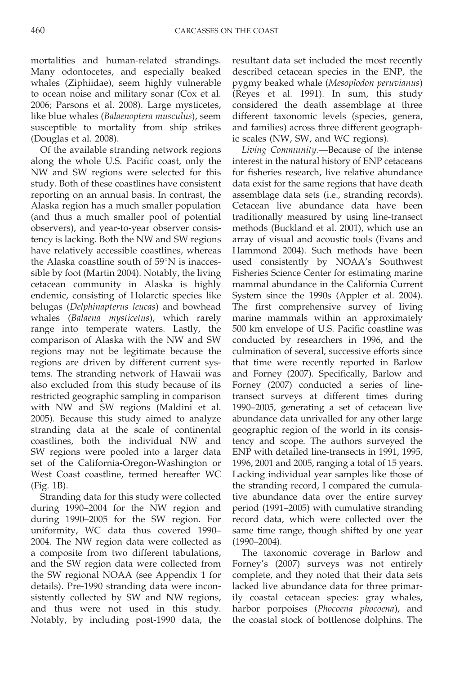460 CARCASSES ON THE COAST

mortalities and human-related strandings. Many odontocetes, and especially beaked whales (Ziphiidae), seem highly vulnerable to ocean noise and military sonar (Cox et al. 2006; Parsons et al. 2008). Large mysticetes, like blue whales (Balaenoptera musculus), seem susceptible to mortality from ship strikes (Douglas et al. 2008).

Of the available stranding network regions along the whole U.S. Pacific coast, only the NW and SW regions were selected for this study. Both of these coastlines have consistent reporting on an annual basis. In contrast, the Alaska region has a much smaller population (and thus a much smaller pool of potential observers), and year-to-year observer consistency is lacking. Both the NW and SW regions have relatively accessible coastlines, whereas the Alaska coastline south of  $59^{\circ}$ N is inaccessible by foot (Martin 2004). Notably, the living cetacean community in Alaska is highly endemic, consisting of Holarctic species like belugas (Delphinapterus leucas) and bowhead whales (Balaena mysticetus), which rarely range into temperate waters. Lastly, the comparison of Alaska with the NW and SW regions may not be legitimate because the regions are driven by different current systems. The stranding network of Hawaii was also excluded from this study because of its restricted geographic sampling in comparison with NW and SW regions (Maldini et al. 2005). Because this study aimed to analyze stranding data at the scale of continental coastlines, both the individual NW and SW regions were pooled into a larger data set of the California-Oregon-Washington or West Coast coastline, termed hereafter WC (Fig. 1B).

Stranding data for this study were collected during 1990–2004 for the NW region and during 1990–2005 for the SW region. For uniformity, WC data thus covered 1990– 2004. The NW region data were collected as a composite from two different tabulations, and the SW region data were collected from the SW regional NOAA (see Appendix 1 for details). Pre-1990 stranding data were inconsistently collected by SW and NW regions, and thus were not used in this study. Notably, by including post-1990 data, the resultant data set included the most recently described cetacean species in the ENP, the pygmy beaked whale (Mesoplodon peruvianus) (Reyes et al. 1991). In sum, this study considered the death assemblage at three different taxonomic levels (species, genera, and families) across three different geographic scales (NW, SW, and WC regions).

Living Community.—Because of the intense interest in the natural history of ENP cetaceans for fisheries research, live relative abundance data exist for the same regions that have death assemblage data sets (i.e., stranding records). Cetacean live abundance data have been traditionally measured by using line-transect methods (Buckland et al. 2001), which use an array of visual and acoustic tools (Evans and Hammond 2004). Such methods have been used consistently by NOAA's Southwest Fisheries Science Center for estimating marine mammal abundance in the California Current System since the 1990s (Appler et al. 2004). The first comprehensive survey of living marine mammals within an approximately 500 km envelope of U.S. Pacific coastline was conducted by researchers in 1996, and the culmination of several, successive efforts since that time were recently reported in Barlow and Forney (2007). Specifically, Barlow and Forney (2007) conducted a series of linetransect surveys at different times during 1990–2005, generating a set of cetacean live abundance data unrivalled for any other large geographic region of the world in its consistency and scope. The authors surveyed the ENP with detailed line-transects in 1991, 1995, 1996, 2001 and 2005, ranging a total of 15 years. Lacking individual year samples like those of the stranding record, I compared the cumulative abundance data over the entire survey period (1991–2005) with cumulative stranding record data, which were collected over the same time range, though shifted by one year (1990–2004).

The taxonomic coverage in Barlow and Forney's (2007) surveys was not entirely complete, and they noted that their data sets lacked live abundance data for three primarily coastal cetacean species: gray whales, harbor porpoises (Phocoena phocoena), and the coastal stock of bottlenose dolphins. The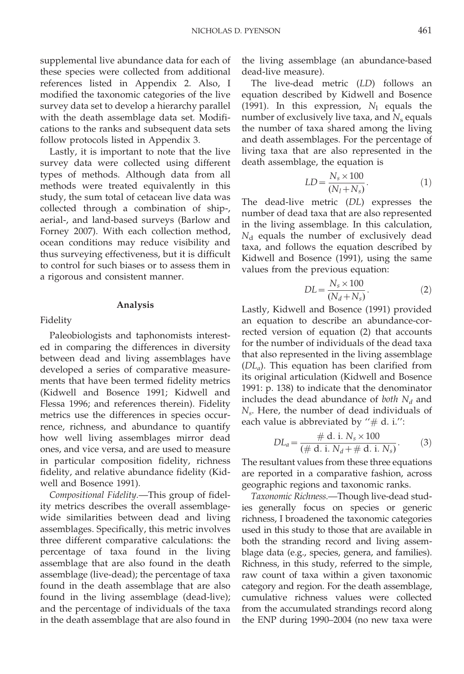supplemental live abundance data for each of these species were collected from additional references listed in Appendix 2. Also, I modified the taxonomic categories of the live survey data set to develop a hierarchy parallel with the death assemblage data set. Modifications to the ranks and subsequent data sets follow protocols listed in Appendix 3.

Lastly, it is important to note that the live survey data were collected using different types of methods. Although data from all methods were treated equivalently in this study, the sum total of cetacean live data was collected through a combination of ship-, aerial-, and land-based surveys (Barlow and Forney 2007). With each collection method, ocean conditions may reduce visibility and thus surveying effectiveness, but it is difficult to control for such biases or to assess them in a rigorous and consistent manner.

#### Analysis

#### Fidelity

Paleobiologists and taphonomists interested in comparing the differences in diversity between dead and living assemblages have developed a series of comparative measurements that have been termed fidelity metrics (Kidwell and Bosence 1991; Kidwell and Flessa 1996; and references therein). Fidelity metrics use the differences in species occurrence, richness, and abundance to quantify how well living assemblages mirror dead ones, and vice versa, and are used to measure in particular composition fidelity, richness fidelity, and relative abundance fidelity (Kidwell and Bosence 1991).

Compositional Fidelity.—This group of fidelity metrics describes the overall assemblagewide similarities between dead and living assemblages. Specifically, this metric involves three different comparative calculations: the percentage of taxa found in the living assemblage that are also found in the death assemblage (live-dead); the percentage of taxa found in the death assemblage that are also found in the living assemblage (dead-live); and the percentage of individuals of the taxa in the death assemblage that are also found in

the living assemblage (an abundance-based dead-live measure).

The live-dead metric (LD) follows an equation described by Kidwell and Bosence (1991). In this expression,  $N_1$  equals the number of exclusively live taxa, and  $N_s$  equals the number of taxa shared among the living and death assemblages. For the percentage of living taxa that are also represented in the death assemblage, the equation is

$$
LD = \frac{N_s \times 100}{(N_l + N_s)}.\tag{1}
$$

The dead-live metric (DL) expresses the number of dead taxa that are also represented in the living assemblage. In this calculation,  $N_d$  equals the number of exclusively dead taxa, and follows the equation described by Kidwell and Bosence (1991), using the same values from the previous equation:

$$
DL = \frac{N_s \times 100}{(N_d + N_s)}.\tag{2}
$$

Lastly, Kidwell and Bosence (1991) provided an equation to describe an abundance-corrected version of equation (2) that accounts for the number of individuals of the dead taxa that also represented in the living assemblage  $(DL_a)$ . This equation has been clarified from its original articulation (Kidwell and Bosence 1991: p. 138) to indicate that the denominator includes the dead abundance of both  $N_d$  and  $N<sub>s</sub>$ . Here, the number of dead individuals of each value is abbreviated by " $# d. i.'$ :

$$
DL_a = \frac{\# \text{ d. i. } N_s \times 100}{(\# \text{ d. i. } N_d + \# \text{ d. i. } N_s)}.
$$
 (3)

The resultant values from these three equations are reported in a comparative fashion, across geographic regions and taxonomic ranks.

Taxonomic Richness.—Though live-dead studies generally focus on species or generic richness, I broadened the taxonomic categories used in this study to those that are available in both the stranding record and living assemblage data (e.g., species, genera, and families). Richness, in this study, referred to the simple, raw count of taxa within a given taxonomic category and region. For the death assemblage, cumulative richness values were collected from the accumulated strandings record along the ENP during 1990–2004 (no new taxa were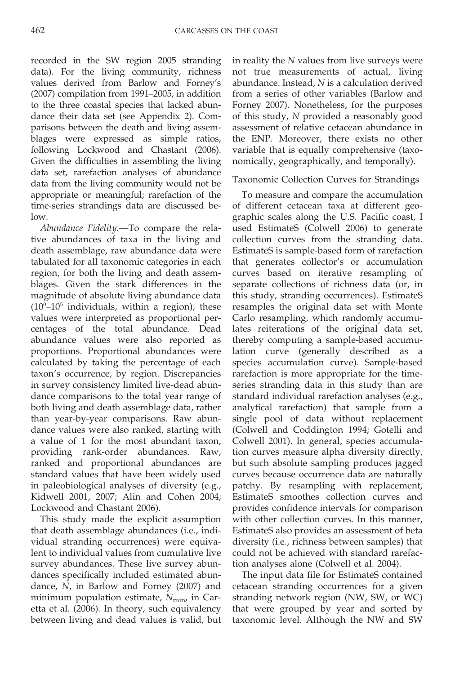recorded in the SW region 2005 stranding data). For the living community, richness values derived from Barlow and Forney's (2007) compilation from 1991–2005, in addition to the three coastal species that lacked abundance their data set (see Appendix 2). Comparisons between the death and living assemblages were expressed as simple ratios, following Lockwood and Chastant (2006). Given the difficulties in assembling the living data set, rarefaction analyses of abundance data from the living community would not be appropriate or meaningful; rarefaction of the time-series strandings data are discussed below.

Abundance Fidelity.—To compare the relative abundances of taxa in the living and death assemblage, raw abundance data were tabulated for all taxonomic categories in each region, for both the living and death assemblages. Given the stark differences in the magnitude of absolute living abundance data  $(10^{\circ}-10^{\circ}$  individuals, within a region), these values were interpreted as proportional percentages of the total abundance. Dead abundance values were also reported as proportions. Proportional abundances were calculated by taking the percentage of each taxon's occurrence, by region. Discrepancies in survey consistency limited live-dead abundance comparisons to the total year range of both living and death assemblage data, rather than year-by-year comparisons. Raw abundance values were also ranked, starting with a value of 1 for the most abundant taxon, providing rank-order abundances. Raw, ranked and proportional abundances are standard values that have been widely used in paleobiological analyses of diversity (e.g., Kidwell 2001, 2007; Alin and Cohen 2004; Lockwood and Chastant 2006).

This study made the explicit assumption that death assemblage abundances (i.e., individual stranding occurrences) were equivalent to individual values from cumulative live survey abundances. These live survey abundances specifically included estimated abundance, N, in Barlow and Forney (2007) and minimum population estimate,  $N_{\text{min}}$  in Caretta et al. (2006). In theory, such equivalency between living and dead values is valid, but

in reality the N values from live surveys were not true measurements of actual, living abundance. Instead, N is a calculation derived from a series of other variables (Barlow and Forney 2007). Nonetheless, for the purposes of this study, N provided a reasonably good assessment of relative cetacean abundance in the ENP. Moreover, there exists no other variable that is equally comprehensive (taxonomically, geographically, and temporally).

### Taxonomic Collection Curves for Strandings

To measure and compare the accumulation of different cetacean taxa at different geographic scales along the U.S. Pacific coast, I used EstimateS (Colwell 2006) to generate collection curves from the stranding data. EstimateS is sample-based form of rarefaction that generates collector's or accumulation curves based on iterative resampling of separate collections of richness data (or, in this study, stranding occurrences). EstimateS resamples the original data set with Monte Carlo resampling, which randomly accumulates reiterations of the original data set, thereby computing a sample-based accumulation curve (generally described as a species accumulation curve). Sample-based rarefaction is more appropriate for the timeseries stranding data in this study than are standard individual rarefaction analyses (e.g., analytical rarefaction) that sample from a single pool of data without replacement (Colwell and Coddington 1994; Gotelli and Colwell 2001). In general, species accumulation curves measure alpha diversity directly, but such absolute sampling produces jagged curves because occurrence data are naturally patchy. By resampling with replacement, EstimateS smoothes collection curves and provides confidence intervals for comparison with other collection curves. In this manner, EstimateS also provides an assessment of beta diversity (i.e., richness between samples) that could not be achieved with standard rarefaction analyses alone (Colwell et al. 2004).

The input data file for EstimateS contained cetacean stranding occurrences for a given stranding network region (NW, SW, or WC) that were grouped by year and sorted by taxonomic level. Although the NW and SW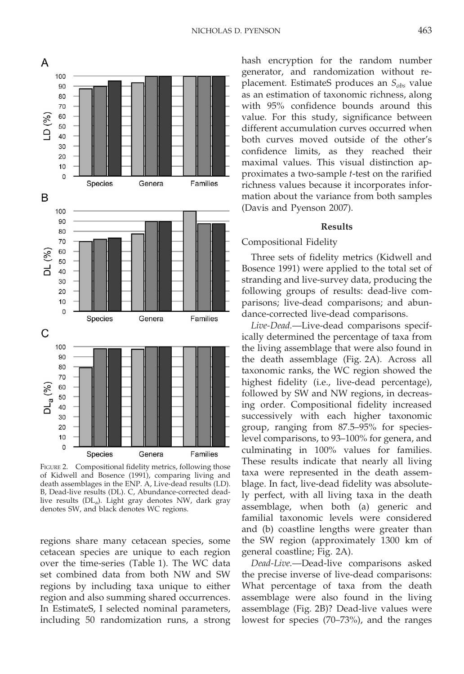

FIGURE 2. Compositional fidelity metrics, following those of Kidwell and Bosence (1991), comparing living and death assemblages in the ENP. A, Live-dead results (LD). B, Dead-live results (DL). C, Abundance-corrected deadlive results (DLa). Light gray denotes NW, dark gray denotes SW, and black denotes WC regions.

regions share many cetacean species, some cetacean species are unique to each region over the time-series (Table 1). The WC data set combined data from both NW and SW regions by including taxa unique to either region and also summing shared occurrences. In EstimateS, I selected nominal parameters, including 50 randomization runs, a strong hash encryption for the random number generator, and randomization without replacement. EstimateS produces an  $S_{obs}$  value as an estimation of taxonomic richness, along with 95% confidence bounds around this value. For this study, significance between different accumulation curves occurred when both curves moved outside of the other's confidence limits, as they reached their maximal values. This visual distinction approximates a two-sample t-test on the rarified richness values because it incorporates information about the variance from both samples (Davis and Pyenson 2007).

#### Results

#### Compositional Fidelity

Three sets of fidelity metrics (Kidwell and Bosence 1991) were applied to the total set of stranding and live-survey data, producing the following groups of results: dead-live comparisons; live-dead comparisons; and abundance-corrected live-dead comparisons.

Live-Dead.—Live-dead comparisons specifically determined the percentage of taxa from the living assemblage that were also found in the death assemblage (Fig. 2A). Across all taxonomic ranks, the WC region showed the highest fidelity (i.e., live-dead percentage), followed by SW and NW regions, in decreasing order. Compositional fidelity increased successively with each higher taxonomic group, ranging from 87.5–95% for specieslevel comparisons, to 93–100% for genera, and culminating in 100% values for families. These results indicate that nearly all living taxa were represented in the death assemblage. In fact, live-dead fidelity was absolutely perfect, with all living taxa in the death assemblage, when both (a) generic and familial taxonomic levels were considered and (b) coastline lengths were greater than the SW region (approximately 1300 km of general coastline; Fig. 2A).

Dead-Live.—Dead-live comparisons asked the precise inverse of live-dead comparisons: What percentage of taxa from the death assemblage were also found in the living assemblage (Fig. 2B)? Dead-live values were lowest for species (70–73%), and the ranges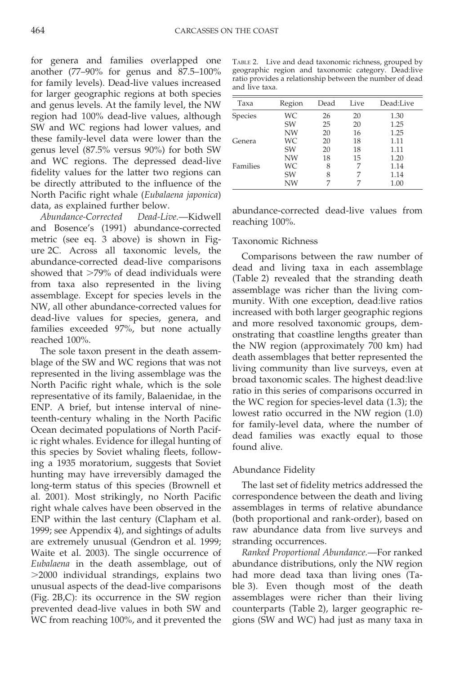for genera and families overlapped one another (77–90% for genus and 87.5–100% for family levels). Dead-live values increased for larger geographic regions at both species and genus levels. At the family level, the NW region had 100% dead-live values, although SW and WC regions had lower values, and these family-level data were lower than the genus level (87.5% versus 90%) for both SW and WC regions. The depressed dead-live fidelity values for the latter two regions can be directly attributed to the influence of the North Pacific right whale (Eubalaena japonica) data, as explained further below.

Abundance-Corrected Dead-Live.—Kidwell and Bosence's (1991) abundance-corrected metric (see eq. 3 above) is shown in Figure 2C. Across all taxonomic levels, the abundance-corrected dead-live comparisons showed that  $>79\%$  of dead individuals were from taxa also represented in the living assemblage. Except for species levels in the NW, all other abundance-corrected values for dead-live values for species, genera, and families exceeded 97%, but none actually reached 100%.

The sole taxon present in the death assemblage of the SW and WC regions that was not represented in the living assemblage was the North Pacific right whale, which is the sole representative of its family, Balaenidae, in the ENP. A brief, but intense interval of nineteenth-century whaling in the North Pacific Ocean decimated populations of North Pacific right whales. Evidence for illegal hunting of this species by Soviet whaling fleets, following a 1935 moratorium, suggests that Soviet hunting may have irreversibly damaged the long-term status of this species (Brownell et al. 2001). Most strikingly, no North Pacific right whale calves have been observed in the ENP within the last century (Clapham et al. 1999; see Appendix 4), and sightings of adults are extremely unusual (Gendron et al. 1999; Waite et al. 2003). The single occurrence of Eubalaena in the death assemblage, out of .2000 individual strandings, explains two unusual aspects of the dead-live comparisons (Fig. 2B,C): its occurrence in the SW region prevented dead-live values in both SW and WC from reaching 100%, and it prevented the

TABLE 2. Live and dead taxonomic richness, grouped by geographic region and taxonomic category. Dead:live ratio provides a relationship between the number of dead and live taxa.

| Taxa     | Region | Dead | Live | Dead:Live |
|----------|--------|------|------|-----------|
| Species  | WС     | 26   | 20   | 1.30      |
|          | SW     | 25   | 20   | 1.25      |
|          | NW     | 20   | 16   | 1.25      |
| Genera   | WС     | 20   | 18   | 1.11      |
|          | SW     | 20   | 18   | 1.11      |
|          | NW     | 18   | 15   | 1.20      |
| Families | WС     | 8    | 7    | 1.14      |
|          | SW     |      |      | 1.14      |
|          | NW     |      |      | 1.00      |

abundance-corrected dead-live values from reaching 100%.

### Taxonomic Richness

Comparisons between the raw number of dead and living taxa in each assemblage (Table 2) revealed that the stranding death assemblage was richer than the living community. With one exception, dead:live ratios increased with both larger geographic regions and more resolved taxonomic groups, demonstrating that coastline lengths greater than the NW region (approximately 700 km) had death assemblages that better represented the living community than live surveys, even at broad taxonomic scales. The highest dead:live ratio in this series of comparisons occurred in the WC region for species-level data (1.3); the lowest ratio occurred in the NW region (1.0) for family-level data, where the number of dead families was exactly equal to those found alive.

### Abundance Fidelity

The last set of fidelity metrics addressed the correspondence between the death and living assemblages in terms of relative abundance (both proportional and rank-order), based on raw abundance data from live surveys and stranding occurrences.

Ranked Proportional Abundance.—For ranked abundance distributions, only the NW region had more dead taxa than living ones (Table 3). Even though most of the death assemblages were richer than their living counterparts (Table 2), larger geographic regions (SW and WC) had just as many taxa in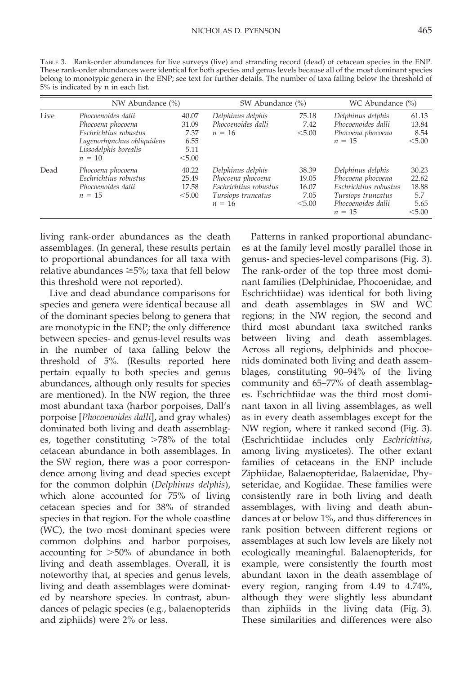TABLE 3. Rank-order abundances for live surveys (live) and stranding record (dead) of cetacean species in the ENP. These rank-order abundances were identical for both species and genus levels because all of the most dominant species belong to monotypic genera in the ENP; see text for further details. The number of taxa falling below the threshold of 5% is indicated by n in each list.

|      | NW Abundance (%)                                                                                                                    |                                                  | SW Abundance (%)                                                                                  |                                           | WC Abundance (%)                                                                                                        |                                                  |
|------|-------------------------------------------------------------------------------------------------------------------------------------|--------------------------------------------------|---------------------------------------------------------------------------------------------------|-------------------------------------------|-------------------------------------------------------------------------------------------------------------------------|--------------------------------------------------|
| Live | Phocoenoides dalli<br>Phocoena phocoena<br>Eschrichtius robustus<br>Lagenorhynchus obliquidens<br>Lissodelphis borealis<br>$n = 10$ | 40.07<br>31.09<br>7.37<br>6.55<br>5.11<br>< 5.00 | Delphinus delphis<br>Phocoenoides dalli<br>$n = 16$                                               | 75.18<br>7.42<br>< 5.00                   | Delphinus delphis<br>Phocoenoides dalli<br>Phocoena phocoena<br>$n = 15$                                                | 61.13<br>13.84<br>8.54<br>< 5.00                 |
| Dead | Phocoena phocoena<br>Eschrichtius robustus<br>Phocoenoides dalli<br>$n = 15$                                                        | 40.22<br>25.49<br>17.58<br>< 5.00                | Delphinus delphis<br>Phocoena phocoena<br>Eschrichtius robustus<br>Tursiops truncatus<br>$n = 16$ | 38.39<br>19.05<br>16.07<br>7.05<br>< 5.00 | Delphinus delphis<br>Phocoena phocoena<br>Eschrichtius robustus<br>Tursiops truncatus<br>Phocoenoides dalli<br>$n = 15$ | 30.23<br>22.62<br>18.88<br>5.7<br>5.65<br>< 5.00 |

living rank-order abundances as the death assemblages. (In general, these results pertain to proportional abundances for all taxa with relative abundances  $\geq$ 5%; taxa that fell below this threshold were not reported).

Live and dead abundance comparisons for species and genera were identical because all of the dominant species belong to genera that are monotypic in the ENP; the only difference between species- and genus-level results was in the number of taxa falling below the threshold of 5%. (Results reported here pertain equally to both species and genus abundances, although only results for species are mentioned). In the NW region, the three most abundant taxa (harbor porpoises, Dall's porpoise [Phocoenoides dalli], and gray whales) dominated both living and death assemblages, together constituting  $>78\%$  of the total cetacean abundance in both assemblages. In the SW region, there was a poor correspondence among living and dead species except for the common dolphin (Delphinus delphis), which alone accounted for 75% of living cetacean species and for 38% of stranded species in that region. For the whole coastline (WC), the two most dominant species were common dolphins and harbor porpoises, accounting for  $>50\%$  of abundance in both living and death assemblages. Overall, it is noteworthy that, at species and genus levels, living and death assemblages were dominated by nearshore species. In contrast, abundances of pelagic species (e.g., balaenopterids and ziphiids) were 2% or less.

Patterns in ranked proportional abundances at the family level mostly parallel those in genus- and species-level comparisons (Fig. 3). The rank-order of the top three most dominant families (Delphinidae, Phocoenidae, and Eschrichtiidae) was identical for both living and death assemblages in SW and WC regions; in the NW region, the second and third most abundant taxa switched ranks between living and death assemblages. Across all regions, delphinids and phocoenids dominated both living and death assemblages, constituting 90–94% of the living community and 65–77% of death assemblages. Eschrichtiidae was the third most dominant taxon in all living assemblages, as well as in every death assemblages except for the NW region, where it ranked second (Fig. 3). (Eschrichtiidae includes only Eschrichtius, among living mysticetes). The other extant families of cetaceans in the ENP include Ziphiidae, Balaenopteridae, Balaenidae, Physeteridae, and Kogiidae. These families were consistently rare in both living and death assemblages, with living and death abundances at or below 1%, and thus differences in rank position between different regions or assemblages at such low levels are likely not ecologically meaningful. Balaenopterids, for example, were consistently the fourth most abundant taxon in the death assemblage of every region, ranging from 4.49 to 4.74%, although they were slightly less abundant than ziphiids in the living data (Fig. 3). These similarities and differences were also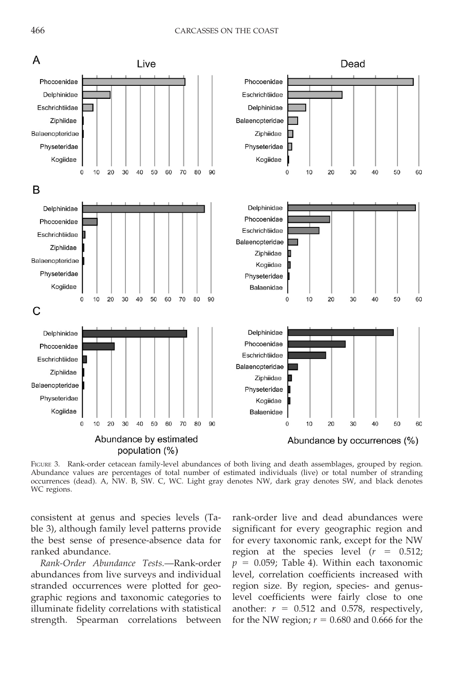

FIGURE 3. Rank-order cetacean family-level abundances of both living and death assemblages, grouped by region. Abundance values are percentages of total number of estimated individuals (live) or total number of stranding occurrences (dead). A, NW. B, SW. C, WC. Light gray denotes NW, dark gray denotes SW, and black denotes WC regions.

consistent at genus and species levels (Table 3), although family level patterns provide the best sense of presence-absence data for ranked abundance.

Rank-Order Abundance Tests.—Rank-order abundances from live surveys and individual stranded occurrences were plotted for geographic regions and taxonomic categories to illuminate fidelity correlations with statistical strength. Spearman correlations between

rank-order live and dead abundances were significant for every geographic region and for every taxonomic rank, except for the NW region at the species level  $(r = 0.512)$ ;  $p = 0.059$ ; Table 4). Within each taxonomic level, correlation coefficients increased with region size. By region, species- and genuslevel coefficients were fairly close to one another:  $r = 0.512$  and 0.578, respectively, for the NW region;  $r = 0.680$  and 0.666 for the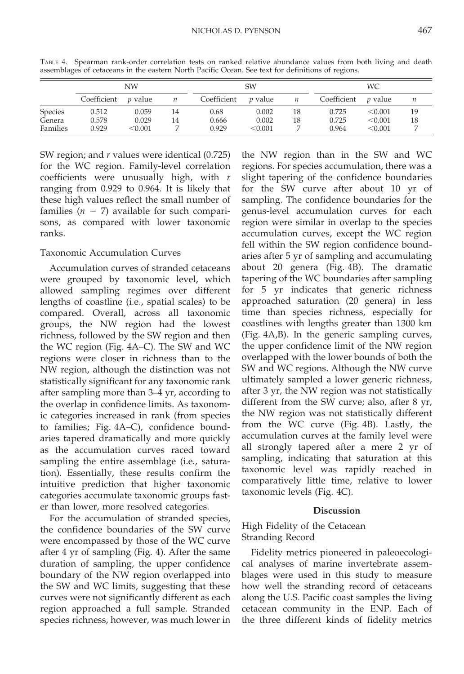|                   | NW             |                |                  | SW            |                |                  | WC.            |                    |          |
|-------------------|----------------|----------------|------------------|---------------|----------------|------------------|----------------|--------------------|----------|
|                   | Coefficient    | <i>v</i> value | $\boldsymbol{n}$ | Coefficient   | <i>p</i> value | $\boldsymbol{n}$ | Coefficient    | <i>v</i> value     | п        |
| Species<br>Genera | 0.512<br>0.578 | 0.059<br>0.029 | 14<br>14         | 0.68<br>0.666 | 0.002<br>0.002 | 18<br>18         | 0.725<br>0.725 | < 0.001<br>< 0.001 | 19<br>18 |
| Families          | 0.929          | < 0.001        |                  | 0.929         | < 0.001        |                  | 0.964          | < 0.001            |          |

TABLE 4. Spearman rank-order correlation tests on ranked relative abundance values from both living and death assemblages of cetaceans in the eastern North Pacific Ocean. See text for definitions of regions.

SW region; and  $r$  values were identical  $(0.725)$ for the WC region. Family-level correlation coefficients were unusually high, with  $r$ ranging from 0.929 to 0.964. It is likely that these high values reflect the small number of families ( $n = 7$ ) available for such comparisons, as compared with lower taxonomic ranks.

### Taxonomic Accumulation Curves

Accumulation curves of stranded cetaceans were grouped by taxonomic level, which allowed sampling regimes over different lengths of coastline (i.e., spatial scales) to be compared. Overall, across all taxonomic groups, the NW region had the lowest richness, followed by the SW region and then the WC region (Fig. 4A–C). The SW and WC regions were closer in richness than to the NW region, although the distinction was not statistically significant for any taxonomic rank after sampling more than 3–4 yr, according to the overlap in confidence limits. As taxonomic categories increased in rank (from species to families; Fig. 4A–C), confidence boundaries tapered dramatically and more quickly as the accumulation curves raced toward sampling the entire assemblage (i.e., saturation). Essentially, these results confirm the intuitive prediction that higher taxonomic categories accumulate taxonomic groups faster than lower, more resolved categories.

For the accumulation of stranded species, the confidence boundaries of the SW curve were encompassed by those of the WC curve after 4 yr of sampling (Fig. 4). After the same duration of sampling, the upper confidence boundary of the NW region overlapped into the SW and WC limits, suggesting that these curves were not significantly different as each region approached a full sample. Stranded species richness, however, was much lower in

the NW region than in the SW and WC regions. For species accumulation, there was a slight tapering of the confidence boundaries for the SW curve after about 10 yr of sampling. The confidence boundaries for the genus-level accumulation curves for each region were similar in overlap to the species accumulation curves, except the WC region fell within the SW region confidence boundaries after 5 yr of sampling and accumulating about 20 genera (Fig. 4B). The dramatic tapering of the WC boundaries after sampling for 5 yr indicates that generic richness approached saturation (20 genera) in less time than species richness, especially for coastlines with lengths greater than 1300 km (Fig. 4A,B). In the generic sampling curves, the upper confidence limit of the NW region overlapped with the lower bounds of both the SW and WC regions. Although the NW curve ultimately sampled a lower generic richness, after 3 yr, the NW region was not statistically different from the SW curve; also, after 8 yr, the NW region was not statistically different from the WC curve (Fig. 4B). Lastly, the accumulation curves at the family level were all strongly tapered after a mere 2 yr of sampling, indicating that saturation at this taxonomic level was rapidly reached in comparatively little time, relative to lower taxonomic levels (Fig. 4C).

#### Discussion

### High Fidelity of the Cetacean Stranding Record

Fidelity metrics pioneered in paleoecological analyses of marine invertebrate assemblages were used in this study to measure how well the stranding record of cetaceans along the U.S. Pacific coast samples the living cetacean community in the ENP. Each of the three different kinds of fidelity metrics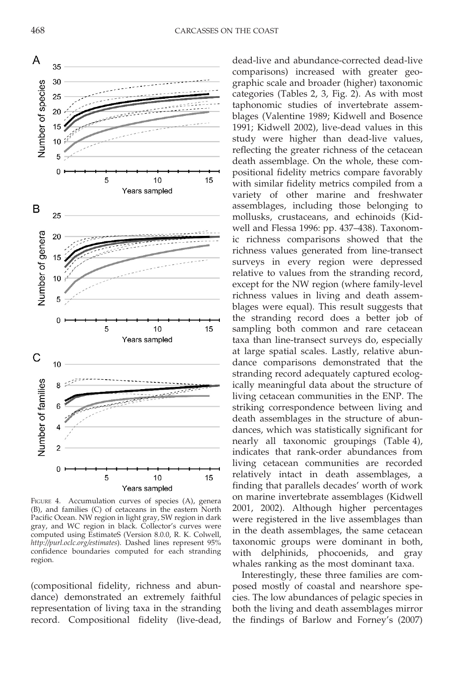

FIGURE 4. Accumulation curves of species (A), genera (B), and families (C) of cetaceans in the eastern North Pacific Ocean. NW region in light gray, SW region in dark gray, and WC region in black. Collector's curves were computed using EstimateS (Version 8.0.0, R. K. Colwell, http://purl.oclc.org/estimates). Dashed lines represent 95% confidence boundaries computed for each stranding region.

(compositional fidelity, richness and abundance) demonstrated an extremely faithful representation of living taxa in the stranding record. Compositional fidelity (live-dead, dead-live and abundance-corrected dead-live comparisons) increased with greater geographic scale and broader (higher) taxonomic categories (Tables 2, 3, Fig. 2). As with most taphonomic studies of invertebrate assemblages (Valentine 1989; Kidwell and Bosence 1991; Kidwell 2002), live-dead values in this study were higher than dead-live values, reflecting the greater richness of the cetacean death assemblage. On the whole, these compositional fidelity metrics compare favorably with similar fidelity metrics compiled from a variety of other marine and freshwater assemblages, including those belonging to mollusks, crustaceans, and echinoids (Kidwell and Flessa 1996: pp. 437–438). Taxonomic richness comparisons showed that the richness values generated from line-transect surveys in every region were depressed relative to values from the stranding record, except for the NW region (where family-level richness values in living and death assemblages were equal). This result suggests that the stranding record does a better job of sampling both common and rare cetacean taxa than line-transect surveys do, especially at large spatial scales. Lastly, relative abundance comparisons demonstrated that the stranding record adequately captured ecologically meaningful data about the structure of living cetacean communities in the ENP. The striking correspondence between living and death assemblages in the structure of abundances, which was statistically significant for nearly all taxonomic groupings (Table 4), indicates that rank-order abundances from living cetacean communities are recorded relatively intact in death assemblages, a finding that parallels decades' worth of work on marine invertebrate assemblages (Kidwell 2001, 2002). Although higher percentages were registered in the live assemblages than in the death assemblages, the same cetacean taxonomic groups were dominant in both, with delphinids, phocoenids, and gray whales ranking as the most dominant taxa.

Interestingly, these three families are composed mostly of coastal and nearshore species. The low abundances of pelagic species in both the living and death assemblages mirror the findings of Barlow and Forney's (2007)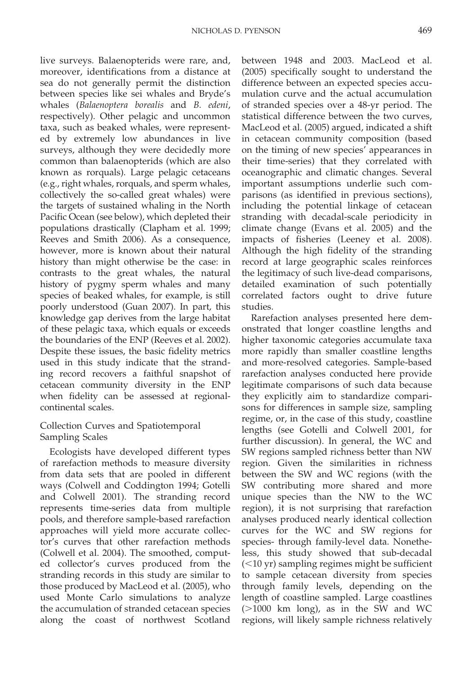live surveys. Balaenopterids were rare, and, moreover, identifications from a distance at sea do not generally permit the distinction between species like sei whales and Bryde's whales (Balaenoptera borealis and B. edeni, respectively). Other pelagic and uncommon taxa, such as beaked whales, were represented by extremely low abundances in live surveys, although they were decidedly more common than balaenopterids (which are also known as rorquals). Large pelagic cetaceans (e.g., right whales, rorquals, and sperm whales, collectively the so-called great whales) were the targets of sustained whaling in the North Pacific Ocean (see below), which depleted their populations drastically (Clapham et al. 1999; Reeves and Smith 2006). As a consequence, however, more is known about their natural history than might otherwise be the case: in contrasts to the great whales, the natural history of pygmy sperm whales and many species of beaked whales, for example, is still poorly understood (Guan 2007). In part, this knowledge gap derives from the large habitat of these pelagic taxa, which equals or exceeds the boundaries of the ENP (Reeves et al. 2002). Despite these issues, the basic fidelity metrics used in this study indicate that the stranding record recovers a faithful snapshot of cetacean community diversity in the ENP when fidelity can be assessed at regionalcontinental scales.

### Collection Curves and Spatiotemporal Sampling Scales

Ecologists have developed different types of rarefaction methods to measure diversity from data sets that are pooled in different ways (Colwell and Coddington 1994; Gotelli and Colwell 2001). The stranding record represents time-series data from multiple pools, and therefore sample-based rarefaction approaches will yield more accurate collector's curves that other rarefaction methods (Colwell et al. 2004). The smoothed, computed collector's curves produced from the stranding records in this study are similar to those produced by MacLeod et al. (2005), who used Monte Carlo simulations to analyze the accumulation of stranded cetacean species along the coast of northwest Scotland

between 1948 and 2003. MacLeod et al. (2005) specifically sought to understand the difference between an expected species accumulation curve and the actual accumulation of stranded species over a 48-yr period. The statistical difference between the two curves, MacLeod et al. (2005) argued, indicated a shift in cetacean community composition (based on the timing of new species' appearances in their time-series) that they correlated with oceanographic and climatic changes. Several important assumptions underlie such comparisons (as identified in previous sections), including the potential linkage of cetacean stranding with decadal-scale periodicity in climate change (Evans et al. 2005) and the impacts of fisheries (Leeney et al. 2008). Although the high fidelity of the stranding record at large geographic scales reinforces the legitimacy of such live-dead comparisons, detailed examination of such potentially correlated factors ought to drive future studies.

Rarefaction analyses presented here demonstrated that longer coastline lengths and higher taxonomic categories accumulate taxa more rapidly than smaller coastline lengths and more-resolved categories. Sample-based rarefaction analyses conducted here provide legitimate comparisons of such data because they explicitly aim to standardize comparisons for differences in sample size, sampling regime, or, in the case of this study, coastline lengths (see Gotelli and Colwell 2001, for further discussion). In general, the WC and SW regions sampled richness better than NW region. Given the similarities in richness between the SW and WC regions (with the SW contributing more shared and more unique species than the NW to the WC region), it is not surprising that rarefaction analyses produced nearly identical collection curves for the WC and SW regions for species- through family-level data. Nonetheless, this study showed that sub-decadal  $(<$ 10 yr) sampling regimes might be sufficient to sample cetacean diversity from species through family levels, depending on the length of coastline sampled. Large coastlines  $($ >1000 km long), as in the SW and WC regions, will likely sample richness relatively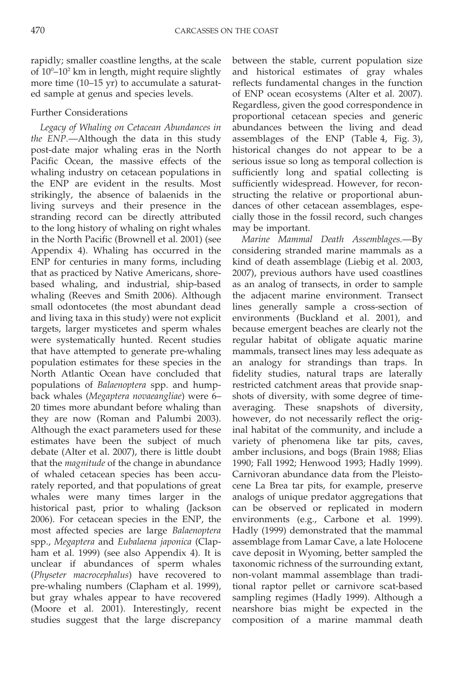rapidly; smaller coastline lengths, at the scale of 10<sup>0</sup>-10<sup>2</sup> km in length, might require slightly more time (10–15 yr) to accumulate a saturated sample at genus and species levels.

## Further Considerations

Legacy of Whaling on Cetacean Abundances in the ENP.—Although the data in this study post-date major whaling eras in the North Pacific Ocean, the massive effects of the whaling industry on cetacean populations in the ENP are evident in the results. Most strikingly, the absence of balaenids in the living surveys and their presence in the stranding record can be directly attributed to the long history of whaling on right whales in the North Pacific (Brownell et al. 2001) (see Appendix 4). Whaling has occurred in the ENP for centuries in many forms, including that as practiced by Native Americans, shorebased whaling, and industrial, ship-based whaling (Reeves and Smith 2006). Although small odontocetes (the most abundant dead and living taxa in this study) were not explicit targets, larger mysticetes and sperm whales were systematically hunted. Recent studies that have attempted to generate pre-whaling population estimates for these species in the North Atlantic Ocean have concluded that populations of Balaenoptera spp. and humpback whales (Megaptera novaeangliae) were 6– 20 times more abundant before whaling than they are now (Roman and Palumbi 2003). Although the exact parameters used for these estimates have been the subject of much debate (Alter et al. 2007), there is little doubt that the *magnitude* of the change in abundance of whaled cetacean species has been accurately reported, and that populations of great whales were many times larger in the historical past, prior to whaling (Jackson 2006). For cetacean species in the ENP, the most affected species are large Balaenoptera spp., Megaptera and Eubalaena japonica (Clapham et al. 1999) (see also Appendix 4). It is unclear if abundances of sperm whales (Physeter macrocephalus) have recovered to pre-whaling numbers (Clapham et al. 1999), but gray whales appear to have recovered (Moore et al. 2001). Interestingly, recent studies suggest that the large discrepancy between the stable, current population size and historical estimates of gray whales reflects fundamental changes in the function of ENP ocean ecosystems (Alter et al. 2007). Regardless, given the good correspondence in proportional cetacean species and generic abundances between the living and dead assemblages of the ENP (Table 4, Fig. 3), historical changes do not appear to be a serious issue so long as temporal collection is sufficiently long and spatial collecting is sufficiently widespread. However, for reconstructing the relative or proportional abundances of other cetacean assemblages, especially those in the fossil record, such changes may be important.

Marine Mammal Death Assemblages.—By considering stranded marine mammals as a kind of death assemblage (Liebig et al. 2003, 2007), previous authors have used coastlines as an analog of transects, in order to sample the adjacent marine environment. Transect lines generally sample a cross-section of environments (Buckland et al. 2001), and because emergent beaches are clearly not the regular habitat of obligate aquatic marine mammals, transect lines may less adequate as an analogy for strandings than traps. In fidelity studies, natural traps are laterally restricted catchment areas that provide snapshots of diversity, with some degree of timeaveraging. These snapshots of diversity, however, do not necessarily reflect the original habitat of the community, and include a variety of phenomena like tar pits, caves, amber inclusions, and bogs (Brain 1988; Elias 1990; Fall 1992; Henwood 1993; Hadly 1999). Carnivoran abundance data from the Pleistocene La Brea tar pits, for example, preserve analogs of unique predator aggregations that can be observed or replicated in modern environments (e.g., Carbone et al. 1999). Hadly (1999) demonstrated that the mammal assemblage from Lamar Cave, a late Holocene cave deposit in Wyoming, better sampled the taxonomic richness of the surrounding extant, non-volant mammal assemblage than traditional raptor pellet or carnivore scat-based sampling regimes (Hadly 1999). Although a nearshore bias might be expected in the composition of a marine mammal death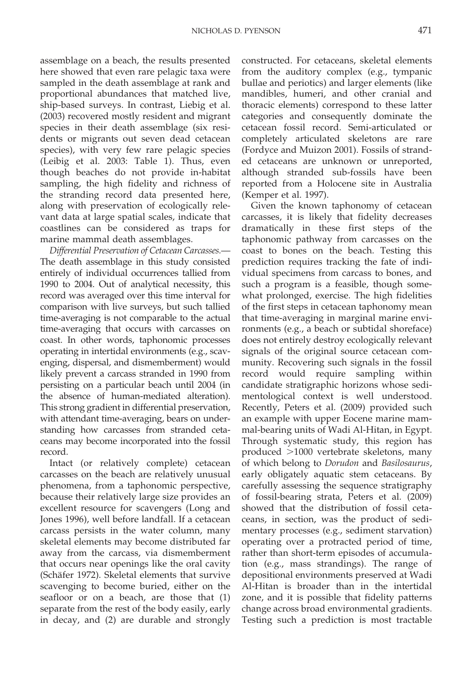assemblage on a beach, the results presented here showed that even rare pelagic taxa were sampled in the death assemblage at rank and proportional abundances that matched live, ship-based surveys. In contrast, Liebig et al. (2003) recovered mostly resident and migrant species in their death assemblage (six residents or migrants out seven dead cetacean species), with very few rare pelagic species (Leibig et al. 2003: Table 1). Thus, even though beaches do not provide in-habitat sampling, the high fidelity and richness of the stranding record data presented here, along with preservation of ecologically relevant data at large spatial scales, indicate that coastlines can be considered as traps for marine mammal death assemblages.

Differential Preservation of Cetacean Carcasses.— The death assemblage in this study consisted entirely of individual occurrences tallied from 1990 to 2004. Out of analytical necessity, this record was averaged over this time interval for comparison with live surveys, but such tallied time-averaging is not comparable to the actual time-averaging that occurs with carcasses on coast. In other words, taphonomic processes operating in intertidal environments (e.g., scavenging, dispersal, and dismemberment) would likely prevent a carcass stranded in 1990 from persisting on a particular beach until 2004 (in the absence of human-mediated alteration). This strong gradient in differential preservation, with attendant time-averaging, bears on understanding how carcasses from stranded cetaceans may become incorporated into the fossil record.

Intact (or relatively complete) cetacean carcasses on the beach are relatively unusual phenomena, from a taphonomic perspective, because their relatively large size provides an excellent resource for scavengers (Long and Jones 1996), well before landfall. If a cetacean carcass persists in the water column, many skeletal elements may become distributed far away from the carcass, via dismemberment that occurs near openings like the oral cavity (Schäfer 1972). Skeletal elements that survive scavenging to become buried, either on the seafloor or on a beach, are those that (1) separate from the rest of the body easily, early in decay, and (2) are durable and strongly

constructed. For cetaceans, skeletal elements from the auditory complex (e.g., tympanic bullae and periotics) and larger elements (like mandibles, humeri, and other cranial and thoracic elements) correspond to these latter categories and consequently dominate the cetacean fossil record. Semi-articulated or completely articulated skeletons are rare (Fordyce and Muizon 2001). Fossils of stranded cetaceans are unknown or unreported, although stranded sub-fossils have been reported from a Holocene site in Australia (Kemper et al. 1997).

Given the known taphonomy of cetacean carcasses, it is likely that fidelity decreases dramatically in these first steps of the taphonomic pathway from carcasses on the coast to bones on the beach. Testing this prediction requires tracking the fate of individual specimens from carcass to bones, and such a program is a feasible, though somewhat prolonged, exercise. The high fidelities of the first steps in cetacean taphonomy mean that time-averaging in marginal marine environments (e.g., a beach or subtidal shoreface) does not entirely destroy ecologically relevant signals of the original source cetacean community. Recovering such signals in the fossil record would require sampling within candidate stratigraphic horizons whose sedimentological context is well understood. Recently, Peters et al. (2009) provided such an example with upper Eocene marine mammal-bearing units of Wadi Al-Hitan, in Egypt. Through systematic study, this region has produced  $>1000$  vertebrate skeletons, many of which belong to Dorudon and Basilosaurus, early obligately aquatic stem cetaceans. By carefully assessing the sequence stratigraphy of fossil-bearing strata, Peters et al. (2009) showed that the distribution of fossil cetaceans, in section, was the product of sedimentary processes (e.g., sediment starvation) operating over a protracted period of time, rather than short-term episodes of accumulation (e.g., mass strandings). The range of depositional environments preserved at Wadi Al-Hitan is broader than in the intertidal zone, and it is possible that fidelity patterns change across broad environmental gradients. Testing such a prediction is most tractable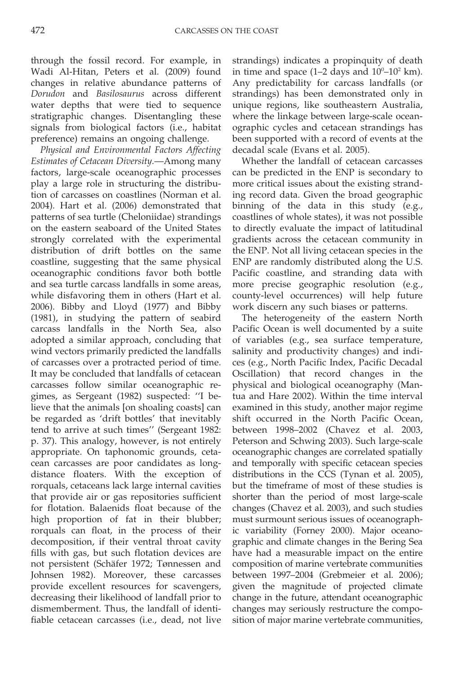through the fossil record. For example, in Wadi Al-Hitan, Peters et al. (2009) found changes in relative abundance patterns of Dorudon and Basilosaurus across different water depths that were tied to sequence stratigraphic changes. Disentangling these signals from biological factors (i.e., habitat preference) remains an ongoing challenge.

Physical and Environmental Factors Affecting Estimates of Cetacean Diversity.—Among many factors, large-scale oceanographic processes play a large role in structuring the distribution of carcasses on coastlines (Norman et al. 2004). Hart et al. (2006) demonstrated that patterns of sea turtle (Cheloniidae) strandings on the eastern seaboard of the United States strongly correlated with the experimental distribution of drift bottles on the same coastline, suggesting that the same physical oceanographic conditions favor both bottle and sea turtle carcass landfalls in some areas, while disfavoring them in others (Hart et al. 2006). Bibby and Lloyd (1977) and Bibby (1981), in studying the pattern of seabird carcass landfalls in the North Sea, also adopted a similar approach, concluding that wind vectors primarily predicted the landfalls of carcasses over a protracted period of time. It may be concluded that landfalls of cetacean carcasses follow similar oceanographic regimes, as Sergeant (1982) suspected: ''I believe that the animals [on shoaling coasts] can be regarded as 'drift bottles' that inevitably tend to arrive at such times'' (Sergeant 1982: p. 37). This analogy, however, is not entirely appropriate. On taphonomic grounds, cetacean carcasses are poor candidates as longdistance floaters. With the exception of rorquals, cetaceans lack large internal cavities that provide air or gas repositories sufficient for flotation. Balaenids float because of the high proportion of fat in their blubber; rorquals can float, in the process of their decomposition, if their ventral throat cavity fills with gas, but such flotation devices are not persistent (Schäfer 1972; Tønnessen and Johnsen 1982). Moreover, these carcasses provide excellent resources for scavengers, decreasing their likelihood of landfall prior to dismemberment. Thus, the landfall of identifiable cetacean carcasses (i.e., dead, not live

strandings) indicates a propinquity of death in time and space  $(1-2$  days and  $10^0-10^2$  km). Any predictability for carcass landfalls (or strandings) has been demonstrated only in unique regions, like southeastern Australia, where the linkage between large-scale oceanographic cycles and cetacean strandings has been supported with a record of events at the decadal scale (Evans et al. 2005).

Whether the landfall of cetacean carcasses can be predicted in the ENP is secondary to more critical issues about the existing stranding record data. Given the broad geographic binning of the data in this study (e.g., coastlines of whole states), it was not possible to directly evaluate the impact of latitudinal gradients across the cetacean community in the ENP. Not all living cetacean species in the ENP are randomly distributed along the U.S. Pacific coastline, and stranding data with more precise geographic resolution (e.g., county-level occurrences) will help future work discern any such biases or patterns.

The heterogeneity of the eastern North Pacific Ocean is well documented by a suite of variables (e.g., sea surface temperature, salinity and productivity changes) and indices (e.g., North Pacific Index, Pacific Decadal Oscillation) that record changes in the physical and biological oceanography (Mantua and Hare 2002). Within the time interval examined in this study, another major regime shift occurred in the North Pacific Ocean, between 1998–2002 (Chavez et al. 2003, Peterson and Schwing 2003). Such large-scale oceanographic changes are correlated spatially and temporally with specific cetacean species distributions in the CCS (Tynan et al. 2005), but the timeframe of most of these studies is shorter than the period of most large-scale changes (Chavez et al. 2003), and such studies must surmount serious issues of oceanographic variability (Forney 2000). Major oceanographic and climate changes in the Bering Sea have had a measurable impact on the entire composition of marine vertebrate communities between 1997–2004 (Grebmeier et al. 2006); given the magnitude of projected climate change in the future, attendant oceanographic changes may seriously restructure the composition of major marine vertebrate communities,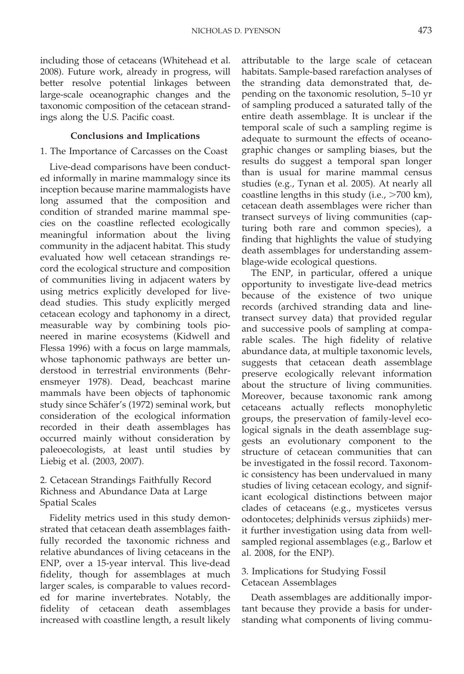including those of cetaceans (Whitehead et al. 2008). Future work, already in progress, will better resolve potential linkages between large-scale oceanographic changes and the taxonomic composition of the cetacean strandings along the U.S. Pacific coast.

## Conclusions and Implications

### 1. The Importance of Carcasses on the Coast

Live-dead comparisons have been conducted informally in marine mammalogy since its inception because marine mammalogists have long assumed that the composition and condition of stranded marine mammal species on the coastline reflected ecologically meaningful information about the living community in the adjacent habitat. This study evaluated how well cetacean strandings record the ecological structure and composition of communities living in adjacent waters by using metrics explicitly developed for livedead studies. This study explicitly merged cetacean ecology and taphonomy in a direct, measurable way by combining tools pioneered in marine ecosystems (Kidwell and Flessa 1996) with a focus on large mammals, whose taphonomic pathways are better understood in terrestrial environments (Behrensmeyer 1978). Dead, beachcast marine mammals have been objects of taphonomic study since Schäfer's (1972) seminal work, but consideration of the ecological information recorded in their death assemblages has occurred mainly without consideration by paleoecologists, at least until studies by Liebig et al. (2003, 2007).

## 2. Cetacean Strandings Faithfully Record Richness and Abundance Data at Large Spatial Scales

Fidelity metrics used in this study demonstrated that cetacean death assemblages faithfully recorded the taxonomic richness and relative abundances of living cetaceans in the ENP, over a 15-year interval. This live-dead fidelity, though for assemblages at much larger scales, is comparable to values recorded for marine invertebrates. Notably, the fidelity of cetacean death assemblages increased with coastline length, a result likely

attributable to the large scale of cetacean habitats. Sample-based rarefaction analyses of the stranding data demonstrated that, depending on the taxonomic resolution, 5–10 yr of sampling produced a saturated tally of the entire death assemblage. It is unclear if the temporal scale of such a sampling regime is adequate to surmount the effects of oceanographic changes or sampling biases, but the results do suggest a temporal span longer than is usual for marine mammal census studies (e.g., Tynan et al. 2005). At nearly all coastline lengths in this study (i.e.,  $>700$  km), cetacean death assemblages were richer than transect surveys of living communities (capturing both rare and common species), a finding that highlights the value of studying death assemblages for understanding assemblage-wide ecological questions.

The ENP, in particular, offered a unique opportunity to investigate live-dead metrics because of the existence of two unique records (archived stranding data and linetransect survey data) that provided regular and successive pools of sampling at comparable scales. The high fidelity of relative abundance data, at multiple taxonomic levels, suggests that cetacean death assemblage preserve ecologically relevant information about the structure of living communities. Moreover, because taxonomic rank among cetaceans actually reflects monophyletic groups, the preservation of family-level ecological signals in the death assemblage suggests an evolutionary component to the structure of cetacean communities that can be investigated in the fossil record. Taxonomic consistency has been undervalued in many studies of living cetacean ecology, and significant ecological distinctions between major clades of cetaceans (e.g., mysticetes versus odontocetes; delphinids versus ziphiids) merit further investigation using data from wellsampled regional assemblages (e.g., Barlow et al. 2008, for the ENP).

## 3. Implications for Studying Fossil Cetacean Assemblages

Death assemblages are additionally important because they provide a basis for understanding what components of living commu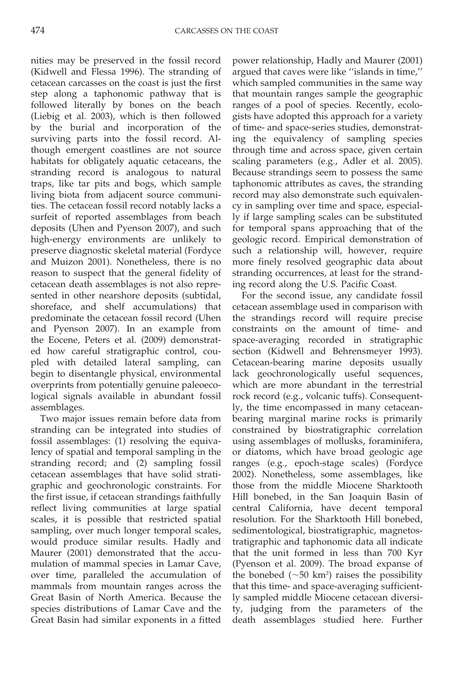nities may be preserved in the fossil record (Kidwell and Flessa 1996). The stranding of cetacean carcasses on the coast is just the first step along a taphonomic pathway that is followed literally by bones on the beach (Liebig et al. 2003), which is then followed by the burial and incorporation of the surviving parts into the fossil record. Although emergent coastlines are not source habitats for obligately aquatic cetaceans, the stranding record is analogous to natural traps, like tar pits and bogs, which sample living biota from adjacent source communities. The cetacean fossil record notably lacks a surfeit of reported assemblages from beach deposits (Uhen and Pyenson 2007), and such high-energy environments are unlikely to preserve diagnostic skeletal material (Fordyce and Muizon 2001). Nonetheless, there is no reason to suspect that the general fidelity of cetacean death assemblages is not also represented in other nearshore deposits (subtidal, shoreface, and shelf accumulations) that predominate the cetacean fossil record (Uhen and Pyenson 2007). In an example from the Eocene, Peters et al. (2009) demonstrated how careful stratigraphic control, coupled with detailed lateral sampling, can begin to disentangle physical, environmental overprints from potentially genuine paleoecological signals available in abundant fossil assemblages.

Two major issues remain before data from stranding can be integrated into studies of fossil assemblages: (1) resolving the equivalency of spatial and temporal sampling in the stranding record; and (2) sampling fossil cetacean assemblages that have solid stratigraphic and geochronologic constraints. For the first issue, if cetacean strandings faithfully reflect living communities at large spatial scales, it is possible that restricted spatial sampling, over much longer temporal scales, would produce similar results. Hadly and Maurer (2001) demonstrated that the accumulation of mammal species in Lamar Cave, over time, paralleled the accumulation of mammals from mountain ranges across the Great Basin of North America. Because the species distributions of Lamar Cave and the Great Basin had similar exponents in a fitted

power relationship, Hadly and Maurer (2001) argued that caves were like ''islands in time,'' which sampled communities in the same way that mountain ranges sample the geographic ranges of a pool of species. Recently, ecologists have adopted this approach for a variety of time- and space-series studies, demonstrating the equivalency of sampling species through time and across space, given certain scaling parameters (e.g., Adler et al. 2005). Because strandings seem to possess the same taphonomic attributes as caves, the stranding record may also demonstrate such equivalency in sampling over time and space, especially if large sampling scales can be substituted for temporal spans approaching that of the geologic record. Empirical demonstration of such a relationship will, however, require more finely resolved geographic data about stranding occurrences, at least for the stranding record along the U.S. Pacific Coast.

For the second issue, any candidate fossil cetacean assemblage used in comparison with the strandings record will require precise constraints on the amount of time- and space-averaging recorded in stratigraphic section (Kidwell and Behrensmeyer 1993). Cetacean-bearing marine deposits usually lack geochronologically useful sequences, which are more abundant in the terrestrial rock record (e.g., volcanic tuffs). Consequently, the time encompassed in many cetaceanbearing marginal marine rocks is primarily constrained by biostratigraphic correlation using assemblages of mollusks, foraminifera, or diatoms, which have broad geologic age ranges (e.g., epoch-stage scales) (Fordyce 2002). Nonetheless, some assemblages, like those from the middle Miocene Sharktooth Hill bonebed, in the San Joaquin Basin of central California, have decent temporal resolution. For the Sharktooth Hill bonebed, sedimentological, biostratigraphic, magnetostratigraphic and taphonomic data all indicate that the unit formed in less than 700 Kyr (Pyenson et al. 2009). The broad expanse of the bonebed  $({\sim}50 \text{ km}^2)$  raises the possibility that this time- and space-averaging sufficiently sampled middle Miocene cetacean diversity, judging from the parameters of the death assemblages studied here. Further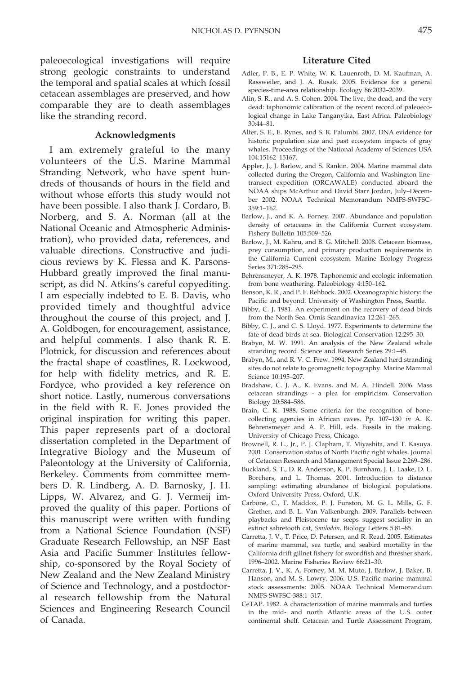paleoecological investigations will require strong geologic constraints to understand the temporal and spatial scales at which fossil cetacean assemblages are preserved, and how comparable they are to death assemblages like the stranding record.

#### Acknowledgments

I am extremely grateful to the many volunteers of the U.S. Marine Mammal Stranding Network, who have spent hundreds of thousands of hours in the field and without whose efforts this study would not have been possible. I also thank J. Cordaro, B. Norberg, and S. A. Norman (all at the National Oceanic and Atmospheric Administration), who provided data, references, and valuable directions. Constructive and judicious reviews by K. Flessa and K. Parsons-Hubbard greatly improved the final manuscript, as did N. Atkins's careful copyediting. I am especially indebted to E. B. Davis, who provided timely and thoughtful advice throughout the course of this project, and J. A. Goldbogen, for encouragement, assistance, and helpful comments. I also thank R. E. Plotnick, for discussion and references about the fractal shape of coastlines, R. Lockwood, for help with fidelity metrics, and R. E. Fordyce, who provided a key reference on short notice. Lastly, numerous conversations in the field with R. E. Jones provided the original inspiration for writing this paper. This paper represents part of a doctoral dissertation completed in the Department of Integrative Biology and the Museum of Paleontology at the University of California, Berkeley. Comments from committee members D. R. Lindberg, A. D. Barnosky, J. H. Lipps, W. Alvarez, and G. J. Vermeij improved the quality of this paper. Portions of this manuscript were written with funding from a National Science Foundation (NSF) Graduate Research Fellowship, an NSF East Asia and Pacific Summer Institutes fellowship, co-sponsored by the Royal Society of New Zealand and the New Zealand Ministry of Science and Technology, and a postdoctoral research fellowship from the Natural Sciences and Engineering Research Council of Canada.

### Literature Cited

- Adler, P. B., E. P. White, W. K. Lauenroth, D. M. Kaufman, A. Rassweiler, and J. A. Rusak. 2005. Evidence for a general species-time-area relationship. Ecology 86:2032–2039.
- Alin, S. R., and A. S. Cohen. 2004. The live, the dead, and the very dead: taphonomic calibration of the recent record of paleoecological change in Lake Tanganyika, East Africa. Paleobiology 30:44–81.
- Alter, S. E., E. Rynes, and S. R. Palumbi. 2007. DNA evidence for historic population size and past ecosystem impacts of gray whales. Proceedings of the National Academy of Sciences USA 104:15162–15167.
- Appler, J., J. Barlow, and S. Rankin. 2004. Marine mammal data collected during the Oregon, California and Washington linetransect expedition (ORCAWALE) conducted aboard the NOAA ships McArthur and David Starr Jordan, July–December 2002. NOAA Technical Memorandum NMFS-SWFSC-359:1–162.
- Barlow, J., and K. A. Forney. 2007. Abundance and population density of cetaceans in the California Current ecosystem. Fishery Bulletin 105:509–526.
- Barlow, J., M. Kahru, and B. G. Mitchell. 2008. Cetacean biomass, prey consumption, and primary production requirements in the California Current ecosystem. Marine Ecology Progress Series 371:285–295.
- Behrensmeyer, A. K. 1978. Taphonomic and ecologic information from bone weathering. Paleobiology 4:150–162.
- Benson, K. R., and P. F. Rehbock. 2002. Oceanographic history: the Pacific and beyond. University of Washington Press, Seattle.
- Bibby, C. J. 1981. An experiment on the recovery of dead birds from the North Sea. Ornis Scandinavica 12:261–265.
- Bibby, C. J., and C. S. Lloyd. 1977. Experiments to determine the fate of dead birds at sea. Biological Conservation 12:295–30.
- Brabyn, M. W. 1991. An analysis of the New Zealand whale stranding record. Science and Research Series 29:1–45.
- Brabyn, M., and R. V. C. Frew. 1994. New Zealand herd stranding sites do not relate to geomagnetic topography. Marine Mammal Science 10:195–207.
- Bradshaw, C. J. A., K. Evans, and M. A. Hindell. 2006. Mass cetacean strandings - a plea for empiricism. Conservation Biology 20:584–586.
- Brain, C. K. 1988. Some criteria for the recognition of bonecollecting agencies in African caves. Pp. 107–130 in A. K. Behrensmeyer and A. P. Hill, eds. Fossils in the making. University of Chicago Press, Chicago.
- Brownell, R. L., Jr., P. J. Clapham, T. Miyashita, and T. Kasuya. 2001. Conservation status of North Pacific right whales. Journal of Cetacean Research and Management Special Issue 2:269–286.
- Buckland, S. T., D. R. Anderson, K. P. Burnham, J. L. Laake, D. L. Borchers, and L. Thomas. 2001. Introduction to distance sampling: estimating abundance of biological populations. Oxford University Press, Oxford, U.K.
- Carbone, C., T. Maddox, P. J. Funston, M. G. L. Mills, G. F. Grether, and B. L. Van Valkenburgh. 2009. Parallels between playbacks and Pleistocene tar seeps suggest sociality in an extinct sabretooth cat, Smilodon. Biology Letters 5:81–85.
- Carretta, J. V., T. Price, D. Petersen, and R. Read. 2005. Estimates of marine mammal, sea turtle, and seabird mortality in the California drift gillnet fishery for swordfish and thresher shark, 1996–2002. Marine Fisheries Review 66:21–30.
- Carretta, J. V., K. A. Forney, M. M. Muto, J. Barlow, J. Baker, B. Hanson, and M. S. Lowry. 2006. U.S. Pacific marine mammal stock assessments: 2005. NOAA Technical Memorandum NMFS-SWFSC-388:1–317.
- CeTAP. 1982. A characterization of marine mammals and turtles in the mid- and north Atlantic areas of the U.S. outer continental shelf. Cetacean and Turtle Assessment Program,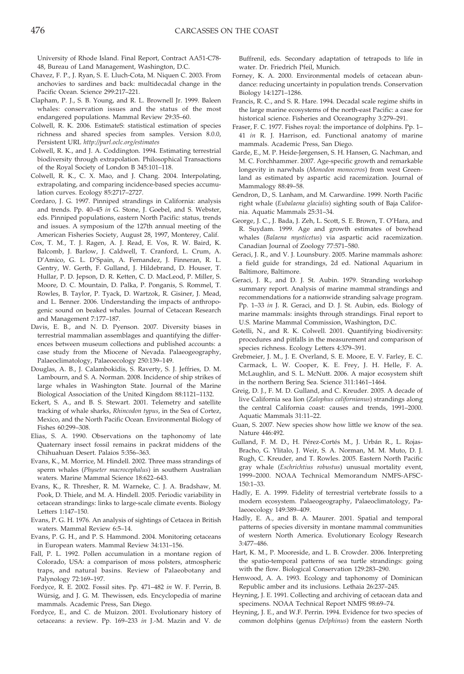University of Rhode Island. Final Report, Contract AA51-C78- 48, Bureau of Land Management, Washington, D.C.

- Chavez, F. P., J. Ryan, S. E. Lluch-Cota, M. Niquen C. 2003. From anchovies to sardines and back: multidecadal change in the Pacific Ocean. Science 299:217–221.
- Clapham, P. J., S. B. Young, and R. L. Brownell Jr. 1999. Baleen whales: conservation issues and the status of the most endangered populations. Mammal Review 29:35–60.
- Colwell, R. K. 2006. EstimateS: statistical estimation of species richness and shared species from samples. Version 8.0.0, Persistent URL http://purl.oclc.org/estimates
- Colwell, R. K., and J. A. Coddington. 1994. Estimating terrestrial biodiversity through extrapolation. Philosophical Transactions of the Royal Society of London B 345:101–118.
- Colwell, R. K., C. X. Mao, and J. Chang. 2004. Interpolating, extrapolating, and comparing incidence-based species accumulation curves. Ecology 85:2717–2727.
- Cordaro, J. G. 1997. Pinniped strandings in California: analysis and trends. Pp. 40–45 in G. Stone, J. Goebel, and S. Webster, eds. Pinniped populations, eastern North Pacific: status, trends and issues. A symposium of the 127th annual meeting of the American Fisheries Society, August 28, 1997, Monterey, Calif.
- Cox, T. M., T. J. Ragen, A. J. Read, E. Vos, R. W. Baird, K. Balcomb, J. Barlow, J. Caldwell, T. Cranford, L. Crum, A. D'Amico, G. L. D'Spain, A. Fernandez, J. Finneran, R. L. Gentry, W. Gerth, F. Gulland, J. Hildebrand, D. Houser, T. Hullar, P. D. Jepson, D. R. Ketten, C. D. MacLeod, P. Miller, S. Moore, D. C. Mountain, D. Palka, P. Ponganis, S. Rommel, T. Rowles, B. Taylor, P. Tyack, D. Wartzok, R. Gisiner, J. Mead, and L. Benner. 2006. Understanding the impacts of anthropogenic sound on beaked whales. Journal of Cetacean Research and Management 7:177–187.
- Davis, E. B., and N. D. Pyenson. 2007. Diversity biases in terrestrial mammalian assemblages and quantifying the differences between museum collections and published accounts: a case study from the Miocene of Nevada. Palaeogeography, Palaeoclimatology, Palaeoecology 250:139–149.
- Douglas, A. B., J. Calambokidis, S. Raverty, S. J. Jeffries, D. M. Lambourn, and S. A. Norman. 2008. Incidence of ship strikes of large whales in Washington State. Journal of the Marine Biological Association of the United Kingdom 88:1121–1132.
- Eckert, S. A., and B. S. Stewart. 2001. Telemetry and satellite tracking of whale sharks, Rhincodon typus, in the Sea of Cortez, Mexico, and the North Pacific Ocean. Environmental Biology of Fishes 60:299–308.
- Elias, S. A. 1990. Observations on the taphonomy of late Quaternary insect fossil remains in packrat middens of the Chihuahuan Desert. Palaios 5:356–363.
- Evans, K., M. Morrice, M. Hindell. 2002. Three mass strandings of sperm whales (Physeter macrocephalus) in southern Australian waters. Marine Mammal Science 18:622–643.
- Evans, K., R. Thresher, R. M. Warneke, C. J. A. Bradshaw, M. Pook, D. Thiele, and M. A. Hindell. 2005. Periodic variability in cetacean strandings: links to large-scale climate events. Biology Letters 1:147–150.
- Evans, P. G. H. 1976. An analysis of sightings of Cetacea in British waters. Mammal Review 6:5–14.
- Evans, P. G. H., and P. S. Hammond. 2004. Monitoring cetaceans in European waters. Mammal Review 34:131–156.
- Fall, P. L. 1992. Pollen accumulation in a montane region of Colorado, USA: a comparison of moss polsters, atmospheric traps, and natural basins. Review of Palaeobotany and Palynology 72:169–197.
- Fordyce, R. E. 2002. Fossil sites. Pp. 471–482 in W. F. Perrin, B. Würsig, and J. G. M. Thewissen, eds. Encyclopedia of marine mammals. Academic Press, San Diego.
- Fordyce, E., and C. de Muizon. 2001. Evolutionary history of cetaceans: a review. Pp. 169–233 in J.-M. Mazin and V. de

Buffrenil, eds. Secondary adaptation of tetrapods to life in water. Dr. Friedrich Pfeil, Munich.

- Forney, K. A. 2000. Environmental models of cetacean abundance: reducing uncertainty in population trends. Conservation Biology 14:1271–1286.
- Francis, R. C., and S. R. Hare. 1994. Decadal scale regime shifts in the large marine ecosystems of the north-east Pacific: a case for historical science. Fisheries and Oceanography 3:279–291.
- Fraser, F. C. 1977. Fishes royal: the importance of dolphins. Pp. 1– 41 in R. J. Harrison, ed. Functional anatomy of marine mammals. Academic Press, San Diego.
- Garde, E., M. P. Heide-Jørgensen, S. H. Hansen, G. Nachman, and M. C. Forchhammer. 2007. Age-specific growth and remarkable longevity in narwhals (Monodon monoceros) from west Greenland as estimated by aspartic acid racemization. Journal of Mammalogy 88:49–58.
- Gendron, D., S. Lanham, and M. Carwardine. 1999. North Pacific right whale (Eubalaena glacialis) sighting south of Baja California. Aquatic Mammals 25:31–34.
- George, J. C., J. Bada, J. Zeh, L. Scott, S. E. Brown, T. O'Hara, and R. Suydam. 1999. Age and growth estimates of bowhead whales (Balaena mysticetus) via aspartic acid racemization. Canadian Journal of Zoology 77:571–580.
- Geraci, J. R., and V. J. Lounsbury. 2005. Marine mammals ashore: a field guide for strandings, 2d ed. National Aquarium in Baltimore, Baltimore.
- Geraci, J. R., and D. J. St. Aubin. 1979. Stranding workshop summary report. Analysis of marine mammal strandings and recommendations for a nationwide stranding salvage program. Pp. 1–33 in J. R. Geraci, and D. J. St. Aubin, eds. Biology of marine mammals: insights through strandings. Final report to U.S. Marine Mammal Commission, Washington, D.C.
- Gotelli, N., and R. K. Colwell. 2001. Quantifying biodiversity: procedures and pitfalls in the measurement and comparison of species richness. Ecology Letters 4:379–391.
- Grebmeier, J. M., J. E. Overland, S. E. Moore, E. V. Farley, E. C. Carmack, L. W. Cooper, K. E. Frey, J. H. Helle, F. A. McLaughlin, and S. L. McNutt. 2006. A major ecosystem shift in the northern Bering Sea. Science 311:1461–1464.
- Greig, D. J., F. M. D. Gulland, and C. Kreuder. 2005. A decade of live California sea lion (Zalophus californianus) strandings along the central California coast: causes and trends, 1991–2000. Aquatic Mammals 31:11–22.
- Guan, S. 2007. New species show how little we know of the sea. Nature 446:492.
- Gulland, F. M. D., H. Pérez-Cortés M., J. Urbán R., L. Rojas-Bracho, G. Ylitalo, J. Weir, S. A. Norman, M. M. Muto, D. J. Rugh, C. Kreuder, and T. Rowles. 2005. Eastern North Pacific gray whale (Eschrichtius robustus) unusual mortality event, 1999–2000. NOAA Technical Memorandum NMFS-AFSC-150:1–33.
- Hadly, E. A. 1999. Fidelity of terrestrial vertebrate fossils to a modern ecosystem. Palaeogeography, Palaeoclimatology, Palaeoecology 149:389–409.
- Hadly, E. A., and B. A. Maurer. 2001. Spatial and temporal patterns of species diversity in montane mammal communities of western North America. Evolutionary Ecology Research 3:477–486.
- Hart, K. M., P. Mooreside, and L. B. Crowder. 2006. Interpreting the spatio-temporal patterns of sea turtle strandings: going with the flow. Biological Conservation 129:283–290.
- Henwood, A. A. 1993. Ecology and taphonomy of Dominican Republic amber and its inclusions. Lethaia 26:237–245.
- Heyning, J. E. 1991. Collecting and archiving of cetacean data and specimens. NOAA Technical Report NMFS 98:69–74.
- Heyning, J. E., and W.F. Perrin. 1994. Evidence for two species of common dolphins (genus Delphinus) from the eastern North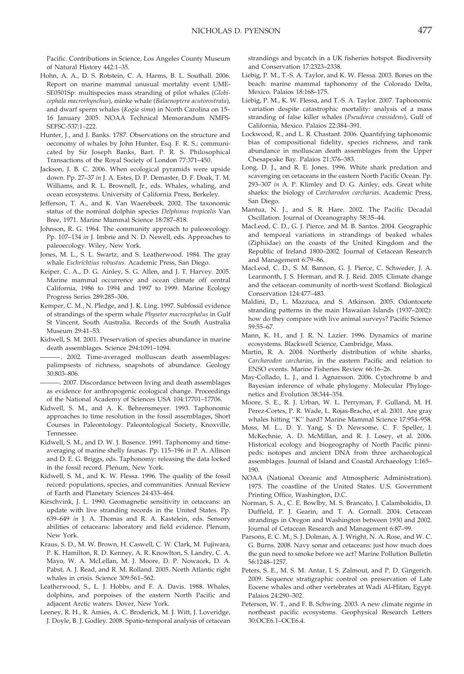Pacific. Contributions in Science, Los Angeles County Museum of Natural History 442:1–35.

- Hohn, A. A., D. S. Rotstein, C. A. Harms, B. L. Southall. 2006. Report on marine mammal unusual mortality event UME-SE0501Sp: multispecies mass stranding of pilot whales (Globicephala macrorhynchus), minke whale (Balaenoptera acutorostrata), and dwarf sperm whales (Kogia sima) in North Carolina on 15– 16 January 2005. NOAA Technical Memorandum NMFS-SEFSC-537:1–222.
- Hunter, J., and J. Banks. 1787. Observations on the structure and oeconomy of whales by John Hunter, Esq. F. R. S.; communicated by Sir Joseph Banks, Bart. P. R. S. Philosophical Transactions of the Royal Society of London 77:371–450.
- Jackson, J. B. C. 2006. When ecological pyramids were upside down. Pp. 27–37 in J. A. Estes, D. P. Demaster, D. F. Doak, T. M. Williams, and R. L. Brownell, Jr., eds. Whales, whaling, and ocean ecosystems. University of California Press, Berkeley.
- Jefferson, T. A., and K. Van Waerebeek. 2002. The taxonomic status of the nominal dolphin species Delphinus tropicalis Van Bree, 1971. Marine Mammal Science 18:787–818.
- Johnson, R. G. 1964. The community approach to paleoecology. Pp. 107–134 in J. Imbrie and N. D. Newell, eds. Approaches to paleoecology. Wiley, New York.
- Jones, M. L., S. L. Swartz, and S. Leatherwood. 1984. The gray whale Eschrichtius robustus. Academic Press, San Diego.
- Keiper, C. A., D. G. Ainley, S. G. Allen, and J. T. Harvey. 2005. Marine mammal occurrence and ocean climate off central California, 1986 to 1994 and 1997 to 1999. Marine Ecology Progress Series 289:285–306.
- Kemper, C. M., N. Pledge, and J. K. Ling. 1997. Subfossil evidence of strandings of the sperm whale Physeter macrocephalus in Gulf St Vincent, South Australia. Records of the South Australia Museum 29:41–53.
- Kidwell, S. M. 2001. Preservation of species abundance in marine death assemblages. Science 294:1091–1094.
- ——— . 2002. Time-averaged molluscan death assemblages: palimpsests of richness, snapshots of abundance. Geology 30:803–806.
- ———. 2007. Discordance between living and death assemblages as evidence for anthropogenic ecological change. Proceedings of the National Academy of Sciences USA 104:17701–17706.
- Kidwell, S. M., and A. K. Behrensmeyer. 1993. Taphonomic approaches to time resolution in the fossil assemblages, Short Courses in Paleontology. Paleontological Society, Knoxville, Tennessee.
- Kidwell, S. M., and D. W. J. Bosence. 1991. Taphonomy and timeaveraging of marine shelly faunas. Pp. 115–196 in P. A. Allison and D. E. G. Briggs, eds. Taphonomy: releasing the data locked in the fossil record. Plenum, New York.
- Kidwell, S. M., and K. W. Flessa. 1996. The quality of the fossil record: populations, species, and communities. Annual Review of Earth and Planetary Sciences 24:433–464.
- Kirschvink, J. L. 1990. Geomagnetic sensitivity in cetaceans: an update with live stranding records in the United States. Pp. 639–649 in J. A. Thomas and R. A. Kastelein, eds. Sensory abilities of cetaceans: laboratory and field evidence. Plenum, New York.
- Kraus, S. D., M. W. Brown, H. Caswell, C. W. Clark, M. Fujiwara, P. K. Hamilton, R. D. Kenney, A. R. Knowlton, S. Landry, C. A. Mayo, W. A. McLellan, M. J. Moore, D. P. Nowacek, D. A. Pabst, A. J. Read, and R. M. Rolland. 2005. North Atlantic right whales in crisis. Science 309:561–562.
- Leatherwood, S., L. J. Hobbs, and F. A. Davis. 1988. Whales, dolphins, and porpoises of the eastern North Pacific and adjacent Arctic waters. Dover, New York.
- Leeney, R. H., R. Amies, A. C. Broderick, M. J. Witt, J. Loveridge, J. Doyle, B. J. Godley. 2008. Spatio-temporal analysis of cetacean

strandings and bycatch in a UK fisheries hotspot. Biodiversity and Conservation 17:2323–2338.

- Liebig, P. M., T.-S. A. Taylor, and K. W. Flessa. 2003. Bones on the beach: marine mammal taphonomy of the Colorado Delta, Mexico. Palaios 18:168–175.
- Liebig, P. M., K. W. Flessa, and T.-S. A. Taylor. 2007. Taphonomic variation despite catastrophic mortality: analysis of a mass stranding of false killer whales (Pseudorca crassidens), Gulf of California, Mexico. Palaios 22:384–391.
- Lockwood, R., and L. R. Chastant. 2006. Quantifying taphonomic bias of compositional fidelity, species richness, and rank abundance in molluscan death assemblages from the Upper Chesapeake Bay. Palaios 21:376–383.
- Long, D. J., and R. E. Jones. 1996. White shark predation and scavenging on cetaceans in the eastern North Pacific Ocean. Pp. 293–307 in A. P. Klimley and D. G. Ainley, eds. Great white sharks: the biology of Carcharodon carcharias. Academic Press, San Diego.
- Mantua, N. J., and S. R. Hare. 2002. The Pacific Decadal Oscillation. Journal of Oceanography 58:35–44.
- MacLeod, C. D., G. J. Pierce, and M. B. Santos. 2004. Geographic and temporal variations in strandings of beaked whales (Ziphiidae) on the coasts of the United Kingdom and the Republic of Ireland 1800–2002. Journal of Cetacean Research and Management 6:79–86.
- MacLeod, C. D., S. M. Bannon, G. J. Pierce, C. Schweder, J. A. Learmonth, J. S. Herman, and R. J. Reid. 2005. Climate change and the cetacean community of north-west Scotland. Biological Conservation 124:477–483.
- Maldini, D., L. Mazzuca, and S. Atkinson. 2005. Odontocete stranding patterns in the main Hawaiian Islands (1937–2002): how do they compare with live animal surveys? Pacific Science 59:55–67.
- Mann, K. H., and J. R. N. Lazier. 1996. Dynamics of marine ecosystems. Blackwell Science, Cambridge, Mass.
- Martin, R. A. 2004. Northerly distribution of white sharks, Carcharodon carcharias, in the eastern Pacific and relation to ENSO events. Marine Fisheries Review 66:16–26.
- May-Collado, L. J., and I. Agnarsson. 2006. Cytochrome b and Bayesian inference of whale phylogeny. Molecular Phylogenetics and Evolution 38:344–354.
- Moore, S. E., R. J. Urban, W. L. Perryman, F. Gulland, M. H. Perez-Cortes, P. R. Wade, L. Rojas-Bracho, et al. 2001. Are gray whales hitting ''K'' hard? Marine Mammal Science 17:954–958.
- Moss, M. L., D. Y. Yang, S. D. Newsome, C. F. Speller, I. McKechnie, A. D. McMillan, and R. J. Losey, et al. 2006. Historical ecology and biogeography of North Pacific pinnipeds: isotopes and ancient DNA from three archaeological assemblages. Journal of Island and Coastal Archaeology 1:165– 190.
- NOAA (National Oceanic and Atmospheric Administration). 1975. The coastline of the United States. U.S. Government Printing Office, Washington, D.C.
- Norman, S. A., C. E. Bowlby, M. S. Brancato, J. Calambokidis, D. Duffield, P. J. Gearin, and T. A. Gornall. 2004. Cetacean strandings in Oregon and Washington between 1930 and 2002. Journal of Cetacean Research and Management 6:87–99.
- Parsons, E. C. M., S. J. Dolman, A. J. Wright, N. A. Rose, and W. C. G. Burns. 2008. Navy sonar and cetaceans: just how much does the gun need to smoke before we act? Marine Pollution Bulletin 56:1248–1257.
- Peters, S. E., M. S. M. Antar, I. S. Zalmout, and P. D. Gingerich. 2009. Sequence stratigraphic control on preservation of Late Eocene whales and other vertebrates at Wadi Al-Hitan, Egypt. Palaios 24:290–302.
- Peterson, W. T., and F. B. Schwing. 2003. A new climate regime in northeast pacific ecosystems. Geophysical Research Letters 30:OCE6.1–OCE6.4.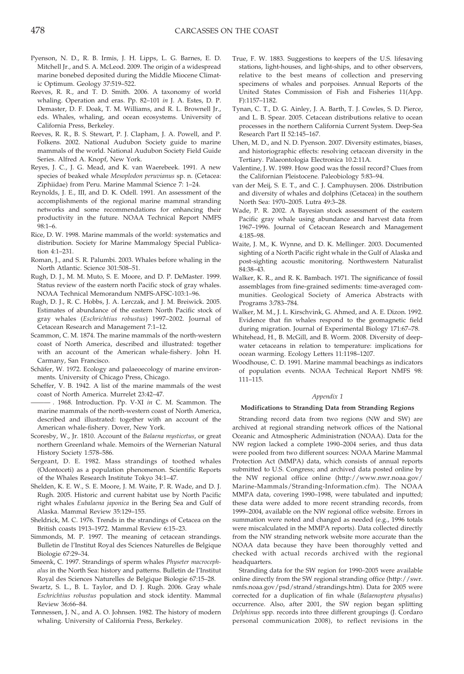- Pyenson, N. D., R. B. Irmis, J. H. Lipps, L. G. Barnes, E. D. Mitchell Jr., and S. A. McLeod. 2009. The origin of a widespread marine bonebed deposited during the Middle Miocene Climatic Optimum. Geology 37:519–522.
- Reeves, R. R., and T. D. Smith. 2006. A taxonomy of world whaling. Operation and eras. Pp. 82–101 in J. A. Estes, D. P. Demaster, D. F. Doak, T. M. Williams, and R. L. Brownell Jr., eds. Whales, whaling, and ocean ecosystems. University of California Press, Berkeley.
- Reeves, R. R., B. S. Stewart, P. J. Clapham, J. A. Powell, and P. Folkens. 2002. National Audubon Society guide to marine mammals of the world. National Audubon Society Field Guide Series. Alfred A. Knopf, New York.
- Reyes, J. C., J. G. Mead, and K. van Waerebeek. 1991. A new species of beaked whale Mesoplodon peruvianus sp. n. (Cetacea: Ziphiidae) from Peru. Marine Mammal Science 7: 1–24.
- Reynolds, J. E., III, and D. K. Odell. 1991. An assessment of the accomplishments of the regional marine mammal stranding networks and some recommendations for enhancing their productivity in the future. NOAA Technical Report NMFS 98:1–6.
- Rice, D. W. 1998. Marine mammals of the world: systematics and distribution. Society for Marine Mammalogy Special Publication 4:1–231.
- Roman, J., and S. R. Palumbi. 2003. Whales before whaling in the North Atlantic. Science 301:508–51.
- Rugh, D. J., M. M. Muto, S. E. Moore, and D. P. DeMaster. 1999. Status review of the eastern north Pacific stock of gray whales. NOAA Technical Memorandum NMFS-AFSC-103:1–96.
- Rugh, D. J., R. C. Hobbs, J. A. Lerczak, and J. M. Breiwick. 2005. Estimates of abundance of the eastern North Pacific stock of gray whales (Eschrichtius robustus) 1997–2002. Journal of Cetacean Research and Management 7:1–12.
- Scammon, C. M. 1874. The marine mammals of the north-western coast of North America, described and illustrated: together with an account of the American whale-fishery. John H. Carmany, San Francisco.
- Schäfer, W. 1972. Ecology and palaeoecology of marine environments. University of Chicago Press, Chicago.
- Scheffer, V. B. 1942. A list of the marine mammals of the west coast of North America. Murrelet 23:42–47.
- . 1968. Introduction. Pp. V-XI in C. M. Scammon. The marine mammals of the north-western coast of North America, described and illustrated: together with an account of the American whale-fishery. Dover, New York.
- Scoresby, W., Jr. 1810. Account of the Balaena mysticetus, or great northern Greenland whale. Memoirs of the Wernerian Natural History Society 1:578–586.
- Sergeant, D. E. 1982. Mass strandings of toothed whales (Odontoceti) as a population phenomenon. Scientific Reports of the Whales Research Institute Tokyo 34:1–47.
- Shelden, K. E. W., S. E. Moore, J. M. Waite, P. R. Wade, and D. J. Rugh. 2005. Historic and current habitat use by North Pacific right whales Eubalaena japonica in the Bering Sea and Gulf of Alaska. Mammal Review 35:129–155.
- Sheldrick, M. C. 1976. Trends in the strandings of Cetacea on the British coasts 1913–1972. Mammal Review 6:15–23.
- Simmonds, M. P. 1997. The meaning of cetacean strandings. Bulletin de l'Institut Royal des Sciences Naturelles de Belgique Biologie 67:29–34.
- Smeenk, C. 1997. Strandings of sperm whales Physeter macrocephalus in the North Sea: history and patterns. Bulletin de l'Institut Royal des Sciences Naturelles de Belgique Biologie 67:15–28.
- Swartz, S. L., B. L. Taylor, and D. J. Rugh. 2006. Gray whale Eschrichtius robustus population and stock identity. Mammal Review 36:66–84.
- Tønnessen, J. N., and A. O. Johnsen. 1982. The history of modern whaling. University of California Press, Berkeley.
- True, F. W. 1883. Suggestions to keepers of the U.S. lifesaving stations, light-houses, and light-ships, and to other observers, relative to the best means of collection and preserving specimens of whales and porpoises. Annual Reports of the United States Commission of Fish and Fisheries 11(App. F):1157–1182.
- Tynan, C. T., D. G. Ainley, J. A. Barth, T. J. Cowles, S. D. Pierce, and L. B. Spear. 2005. Cetacean distributions relative to ocean processes in the northern California Current System. Deep-Sea Research Part II 52:145–167.
- Uhen, M. D., and N. D. Pyenson. 2007. Diversity estimates, biases, and historiographic effects: resolving cetacean diversity in the Tertiary. Palaeontologia Electronica 10.2:11A.
- Valentine, J. W. 1989. How good was the fossil record? Clues from the Californian Pleistocene. Paleobiology 5:83–94.
- van der Meij, S. E. T., and C. J. Camphuysen. 2006. Distribution and diversity of whales and dolphins (Cetacea) in the southern North Sea: 1970–2005. Lutra 49:3–28.
- Wade, P. R. 2002. A Bayesian stock assessment of the eastern Pacific gray whale using abundance and harvest data from 1967–1996. Journal of Cetacean Research and Management 4:185–98.
- Waite, J. M., K. Wynne, and D. K. Mellinger. 2003. Documented sighting of a North Pacific right whale in the Gulf of Alaska and post-sighting acoustic monitoring. Northwestern Naturalist 84:38–43.
- Walker, K. R., and R. K. Bambach. 1971. The significance of fossil assemblages from fine-grained sediments: time-averaged communities. Geological Society of America Abstracts with Programs 3:783–784.
- Walker, M. M., J. L. Kirschvink, G. Ahmed, and A. E. Dizon. 1992. Evidence that fin whales respond to the geomagnetic field during migration. Journal of Experimental Biology 171:67–78.
- Whitehead, H., B. McGill, and B. Worm. 2008. Diversity of deepwater cetaceans in relation to temperature: implications for ocean warming. Ecology Letters 11:1198–1207.
- Woodhouse, C. D. 1991. Marine mammal beachings as indicators of population events. NOAA Technical Report NMFS 98: 111–115.

#### Appendix 1

#### Modifications to Stranding Data from Stranding Regions

Stranding record data from two regions (NW and SW) are archived at regional stranding network offices of the National Oceanic and Atmospheric Administration (NOAA). Data for the NW region lacked a complete 1990–2004 series, and thus data were pooled from two different sources: NOAA Marine Mammal Protection Act (MMPA) data, which consists of annual reports submitted to U.S. Congress; and archived data posted online by the NW regional office online (http://www.nwr.noaa.gov/ Marine-Mammals/Stranding-Information.cfm). The NOAA MMPA data, covering 1990–1998, were tabulated and inputted; these data were added to more recent stranding records, from 1999–2004, available on the NW regional office website. Errors in summation were noted and changed as needed (e.g., 1996 totals were miscalculated in the MMPA reports). Data collected directly from the NW stranding network website more accurate than the NOAA data because they have been thoroughly vetted and checked with actual records archived with the regional headquarters.

Stranding data for the SW region for 1990–2005 were available online directly from the SW regional stranding office (http://swr. nmfs.noaa.gov/psd/strand/strandings.htm). Data for 2005 were corrected for a duplication of fin whale (Balaenoptera physalus) occurrence. Also, after 2001, the SW region began splitting Delphinus spp. records into three different groupings (J. Cordaro personal communication 2008), to reflect revisions in the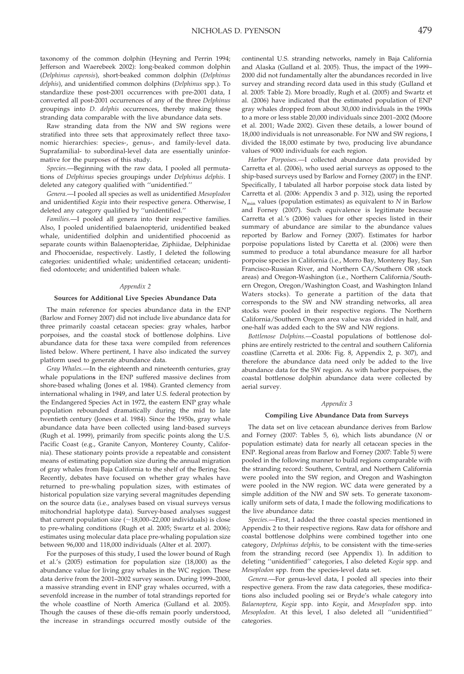taxonomy of the common dolphin (Heyning and Perrin 1994; Jefferson and Waerebeek 2002): long-beaked common dolphin (Delphinus capensis), short-beaked common dolphin (Delphinus delphis), and unidentified common dolphins (Delphinus spp.). To standardize these post-2001 occurrences with pre-2001 data, I converted all post-2001 occurrences of any of the three Delphinus groupings into D. delphis occurrences, thereby making these stranding data comparable with the live abundance data sets.

Raw stranding data from the NW and SW regions were stratified into three sets that approximately reflect three taxonomic hierarchies: species-, genus-, and family-level data. Suprafamilial- to subordinal-level data are essentially uninformative for the purposes of this study.

Species.—Beginning with the raw data, I pooled all permutations of Delphinus species groupings under Delphinus delphis. I deleted any category qualified with ''unidentified.''

Genera.—I pooled all species as well as unidentified Mesoplodon and unidentified Kogia into their respective genera. Otherwise, I deleted any category qualified by ''unidentified.''

Families.—I pooled all genera into their respective families. Also, I pooled unidentified balaenopterid, unidentified beaked whale, unidentified dolphin and unidentified phocoenid as separate counts within Balaenopteridae, Ziphiidae, Delphinidae and Phocoenidae, respectively. Lastly, I deleted the following categories: unidentified whale; unidentified cetacean; unidentified odontocete; and unidentified baleen whale.

#### Appendix 2

#### Sources for Additional Live Species Abundance Data

The main reference for species abundance data in the ENP (Barlow and Forney 2007) did not include live abundance data for three primarily coastal cetacean species: gray whales, harbor porpoises, and the coastal stock of bottlenose dolphins. Live abundance data for these taxa were compiled from references listed below. Where pertinent, I have also indicated the survey platform used to generate abundance data.

Gray Whales.—In the eighteenth and nineteenth centuries, gray whale populations in the ENP suffered massive declines from shore-based whaling (Jones et al. 1984). Granted clemency from international whaling in 1949, and later U.S. federal protection by the Endangered Species Act in 1972, the eastern ENP gray whale population rebounded dramatically during the mid to late twentieth century (Jones et al. 1984). Since the 1950s, gray whale abundance data have been collected using land-based surveys (Rugh et al. 1999), primarily from specific points along the U.S. Pacific Coast (e.g., Granite Canyon, Monterey County, California). These stationary points provide a repeatable and consistent means of estimating population size during the annual migration of gray whales from Baja California to the shelf of the Bering Sea. Recently, debates have focused on whether gray whales have returned to pre-whaling population sizes, with estimates of historical population size varying several magnitudes depending on the source data (i.e., analyses based on visual surveys versus mitochondrial haplotype data). Survey-based analyses suggest that current population size  $(\sim 18,000-22,000$  individuals) is close to pre-whaling conditions (Rugh et al. 2005; Swartz et al. 2006); estimates using molecular data place pre-whaling population size between 96,000 and 118,000 individuals (Alter et al. 2007).

For the purposes of this study, I used the lower bound of Rugh et al.'s (2005) estimation for population size (18,000) as the abundance value for living gray whales in the WC region. These data derive from the 2001–2002 survey season. During 1999–2000, a massive stranding event in ENP gray whales occurred, with a sevenfold increase in the number of total strandings reported for the whole coastline of North America (Gulland et al. 2005). Though the causes of these die-offs remain poorly understood, the increase in strandings occurred mostly outside of the continental U.S. stranding networks, namely in Baja California and Alaska (Gulland et al. 2005). Thus, the impact of the 1999– 2000 did not fundamentally alter the abundances recorded in live survey and stranding record data used in this study (Gulland et al. 2005: Table 2). More broadly, Rugh et al. (2005) and Swartz et al. (2006) have indicated that the estimated population of ENP gray whales dropped from about 30,000 individuals in the 1990s to a more or less stable 20,000 individuals since 2001–2002 (Moore et al. 2001; Wade 2002). Given these details, a lower bound of 18,000 individuals is not unreasonable. For NW and SW regions, I divided the 18,000 estimate by two, producing live abundance values of 9000 individuals for each region.

Harbor Porpoises.—I collected abundance data provided by Carretta et al. (2006), who used aerial surveys as opposed to the ship-based surveys used by Barlow and Forney (2007) in the ENP. Specifically, I tabulated all harbor porpoise stock data listed by Carretta et al. (2006: Appendix 3 and p. 312), using the reported  $N_{\text{min}}$  values (population estimates) as equivalent to  $N$  in Barlow and Forney (2007). Such equivalence is legitimate because Carretta et al.'s (2006) values for other species listed in their summary of abundance are similar to the abundance values reported by Barlow and Forney (2007). Estimates for harbor porpoise populations listed by Caretta et al. (2006) were then summed to produce a total abundance measure for all harbor porpoise species in California (i.e., Morro Bay, Monterey Bay, San Francisco-Russian River, and Northern CA/Southern OR stock areas) and Oregon-Washington (i.e., Northern California/Southern Oregon, Oregon/Washington Coast, and Washington Inland Waters stocks). To generate a partition of the data that corresponds to the SW and NW stranding networks, all area stocks were pooled in their respective regions. The Northern California/Southern Oregon area value was divided in half, and one-half was added each to the SW and NW regions.

Bottlenose Dolphins.—Coastal populations of bottlenose dolphins are entirely restricted to the central and southern California coastline (Carretta et al. 2006: Fig. 8, Appendix 2, p. 307), and therefore the abundance data need only be added to the live abundance data for the SW region. As with harbor porpoises, the coastal bottlenose dolphin abundance data were collected by aerial survey.

#### Appendix 3

#### Compiling Live Abundance Data from Surveys

The data set on live cetacean abundance derives from Barlow and Forney (2007: Tables 5, 6), which lists abundance (N or population estimate) data for nearly all cetacean species in the ENP. Regional areas from Barlow and Forney (2007: Table 5) were pooled in the following manner to build regions comparable with the stranding record: Southern, Central, and Northern California were pooled into the SW region, and Oregon and Washington were pooled in the NW region. WC data were generated by a simple addition of the NW and SW sets. To generate taxonomically uniform sets of data, I made the following modifications to the live abundance data:

Species.—First, I added the three coastal species mentioned in Appendix 2 to their respective regions. Raw data for offshore and coastal bottlenose dolphins were combined together into one category, Delphinus delphis, to be consistent with the time-series from the stranding record (see Appendix 1). In addition to deleting ''unidentified'' categories, I also deleted Kogia spp. and Mesoplodon spp. from the species-level data set.

Genera.—For genus-level data, I pooled all species into their respective genera. From the raw data categories, these modifications also included pooling sei or Bryde's whale category into Balaenoptera, Kogia spp. into Kogia, and Mesoplodon spp. into Mesoplodon. At this level, I also deleted all ''unidentified'' categories.